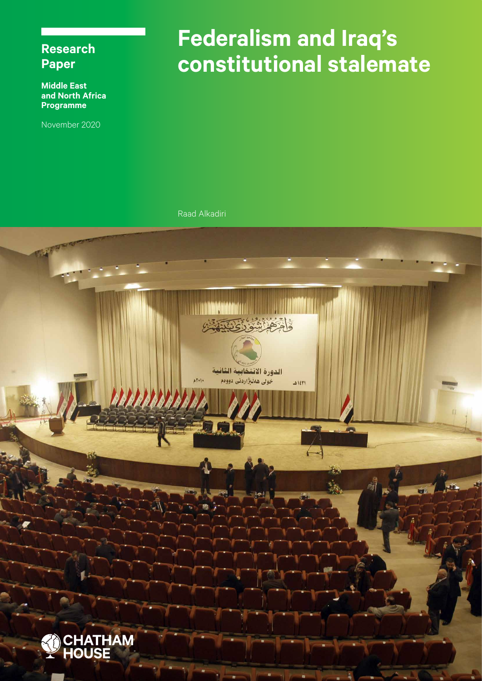# **Research Paper**

**Middle East and North Africa Programme**

November 2020

# **Federalism and Iraq's constitutional stalemate**

Raad Alkadiri

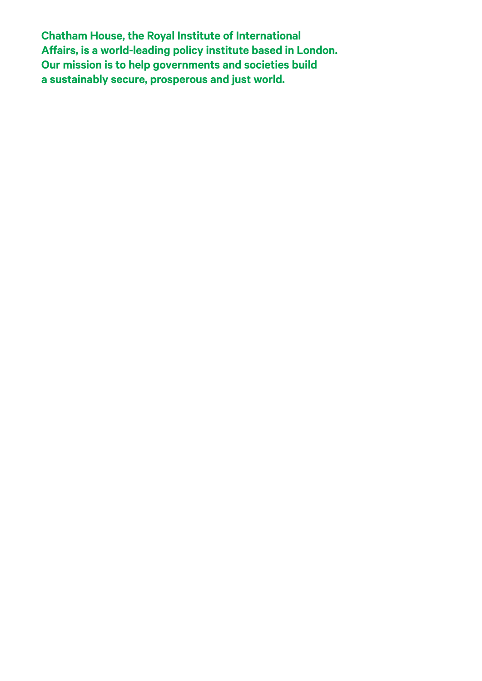**Chatham House, the Royal Institute of International Affairs, is a world-leading policy institute based in London. Our mission is to help governments and societies build a sustainably secure, prosperous and just world.**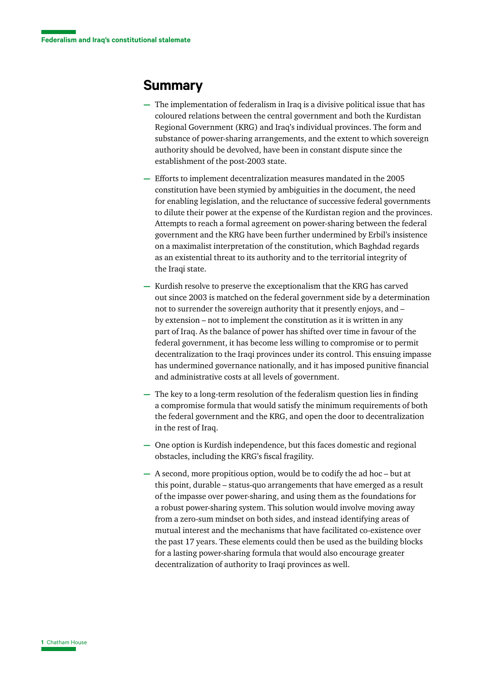#### **Summary**

- **—** The implementation of federalism in Iraq is a divisive political issue that has coloured relations between the central government and both the Kurdistan Regional Government (KRG) and Iraq's individual provinces. The form and substance of power-sharing arrangements, and the extent to which sovereign authority should be devolved, have been in constant dispute since the establishment of the post-2003 state.
- **—** Efforts to implement decentralization measures mandated in the 2005 constitution have been stymied by ambiguities in the document, the need for enabling legislation, and the reluctance of successive federal governments to dilute their power at the expense of the Kurdistan region and the provinces. Attempts to reach a formal agreement on power-sharing between the federal government and the KRG have been further undermined by Erbil's insistence on a maximalist interpretation of the constitution, which Baghdad regards as an existential threat to its authority and to the territorial integrity of the Iraqi state.
- **—** Kurdish resolve to preserve the exceptionalism that the KRG has carved out since 2003 is matched on the federal government side by a determination not to surrender the sovereign authority that it presently enjoys, and – by extension – not to implement the constitution as it is written in any part of Iraq. As the balance of power has shifted over time in favour of the federal government, it has become less willing to compromise or to permit decentralization to the Iraqi provinces under its control. This ensuing impasse has undermined governance nationally, and it has imposed punitive financial and administrative costs at all levels of government.
- **—** The key to a long-term resolution of the federalism question lies in finding a compromise formula that would satisfy the minimum requirements of both the federal government and the KRG, and open the door to decentralization in the rest of Iraq.
- **—** One option is Kurdish independence, but this faces domestic and regional obstacles, including the KRG's fiscal fragility.
- **—** A second, more propitious option, would be to codify the ad hoc but at this point, durable – status-quo arrangements that have emerged as a result of the impasse over power-sharing, and using them as the foundations for a robust power-sharing system. This solution would involve moving away from a zero-sum mindset on both sides, and instead identifying areas of mutual interest and the mechanisms that have facilitated co-existence over the past 17 years. These elements could then be used as the building blocks for a lasting power-sharing formula that would also encourage greater decentralization of authority to Iraqi provinces as well.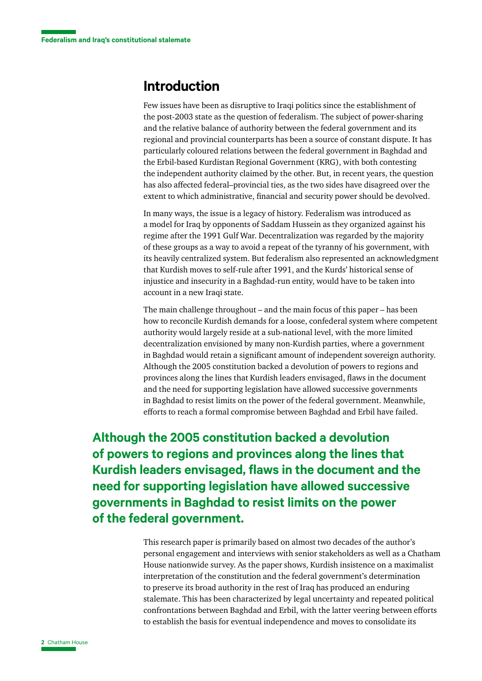#### **Introduction**

Few issues have been as disruptive to Iraqi politics since the establishment of the post-2003 state as the question of federalism. The subject of power-sharing and the relative balance of authority between the federal government and its regional and provincial counterparts has been a source of constant dispute. It has particularly coloured relations between the federal government in Baghdad and the Erbil-based Kurdistan Regional Government (KRG), with both contesting the independent authority claimed by the other. But, in recent years, the question has also affected federal–provincial ties, as the two sides have disagreed over the extent to which administrative, financial and security power should be devolved.

In many ways, the issue is a legacy of history. Federalism was introduced as a model for Iraq by opponents of Saddam Hussein as they organized against his regime after the 1991 Gulf War. Decentralization was regarded by the majority of these groups as a way to avoid a repeat of the tyranny of his government, with its heavily centralized system. But federalism also represented an acknowledgment that Kurdish moves to self-rule after 1991, and the Kurds' historical sense of injustice and insecurity in a Baghdad-run entity, would have to be taken into account in a new Iraqi state.

The main challenge throughout – and the main focus of this paper – has been how to reconcile Kurdish demands for a loose, confederal system where competent authority would largely reside at a sub-national level, with the more limited decentralization envisioned by many non-Kurdish parties, where a government in Baghdad would retain a significant amount of independent sovereign authority. Although the 2005 constitution backed a devolution of powers to regions and provinces along the lines that Kurdish leaders envisaged, flaws in the document and the need for supporting legislation have allowed successive governments in Baghdad to resist limits on the power of the federal government. Meanwhile, efforts to reach a formal compromise between Baghdad and Erbil have failed.

**Although the 2005 constitution backed a devolution of powers to regions and provinces along the lines that Kurdish leaders envisaged, flaws in the document and the need for supporting legislation have allowed successive governments in Baghdad to resist limits on the power of the federal government.**

> This research paper is primarily based on almost two decades of the author's personal engagement and interviews with senior stakeholders as well as a Chatham House nationwide survey. As the paper shows, Kurdish insistence on a maximalist interpretation of the constitution and the federal government's determination to preserve its broad authority in the rest of Iraq has produced an enduring stalemate. This has been characterized by legal uncertainty and repeated political confrontations between Baghdad and Erbil, with the latter veering between efforts to establish the basis for eventual independence and moves to consolidate its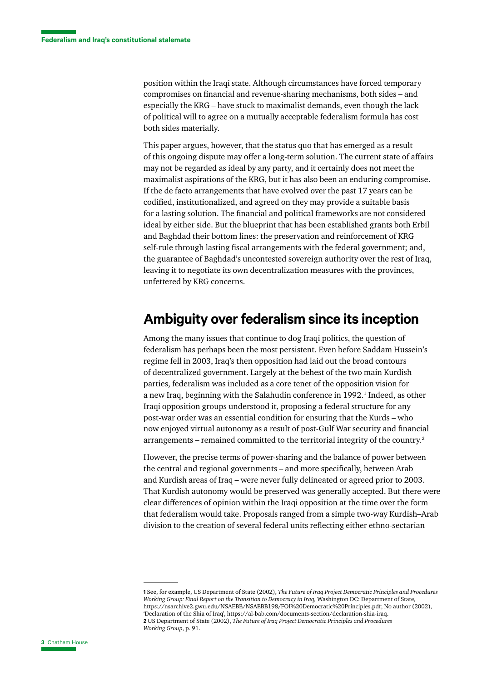position within the Iraqi state. Although circumstances have forced temporary compromises on financial and revenue-sharing mechanisms, both sides – and especially the KRG – have stuck to maximalist demands, even though the lack of political will to agree on a mutually acceptable federalism formula has cost both sides materially.

This paper argues, however, that the status quo that has emerged as a result of this ongoing dispute may offer a long-term solution. The current state of affairs may not be regarded as ideal by any party, and it certainly does not meet the maximalist aspirations of the KRG, but it has also been an enduring compromise. If the de facto arrangements that have evolved over the past 17 years can be codified, institutionalized, and agreed on they may provide a suitable basis for a lasting solution. The financial and political frameworks are not considered ideal by either side. But the blueprint that has been established grants both Erbil and Baghdad their bottom lines: the preservation and reinforcement of KRG self-rule through lasting fiscal arrangements with the federal government; and, the guarantee of Baghdad's uncontested sovereign authority over the rest of Iraq, leaving it to negotiate its own decentralization measures with the provinces, unfettered by KRG concerns.

#### **Ambiguity over federalism since its inception**

Among the many issues that continue to dog Iraqi politics, the question of federalism has perhaps been the most persistent. Even before Saddam Hussein's regime fell in 2003, Iraq's then opposition had laid out the broad contours of decentralized government. Largely at the behest of the two main Kurdish parties, federalism was included as a core tenet of the opposition vision for a new Iraq, beginning with the Salahudin conference in 1992.<sup>1</sup> Indeed, as other Iraqi opposition groups understood it, proposing a federal structure for any post-war order was an essential condition for ensuring that the Kurds – who now enjoyed virtual autonomy as a result of post-Gulf War security and financial arrangements – remained committed to the territorial integrity of the country.2

However, the precise terms of power-sharing and the balance of power between the central and regional governments – and more specifically, between Arab and Kurdish areas of Iraq – were never fully delineated or agreed prior to 2003. That Kurdish autonomy would be preserved was generally accepted. But there were clear differences of opinion within the Iraqi opposition at the time over the form that federalism would take. Proposals ranged from a simple two-way Kurdish–Arab division to the creation of several federal units reflecting either ethno-sectarian

**<sup>1</sup>** See, for example, US Department of State (2002), *The Future of Iraq Project Democratic Principles and Procedures Working Group: Final Report on the Transition to Democracy in Iraq,* Washington DC: Department of State*,*  [https://nsarchive2.gwu.edu/NSAEBB/NSAEBB198/FOI%20Democratic%20Principles.pdf;](https://nsarchive2.gwu.edu/NSAEBB/NSAEBB198/FOI%20Democratic%20Principles.pdf) No author (2002), 'Declaration of the Shia of Iraq', <https://al-bab.com/documents-section/declaration-shia-iraq>. **2** US Department of State (2002), *The Future of Iraq Project Democratic Principles and Procedures Working Group*, p. 91.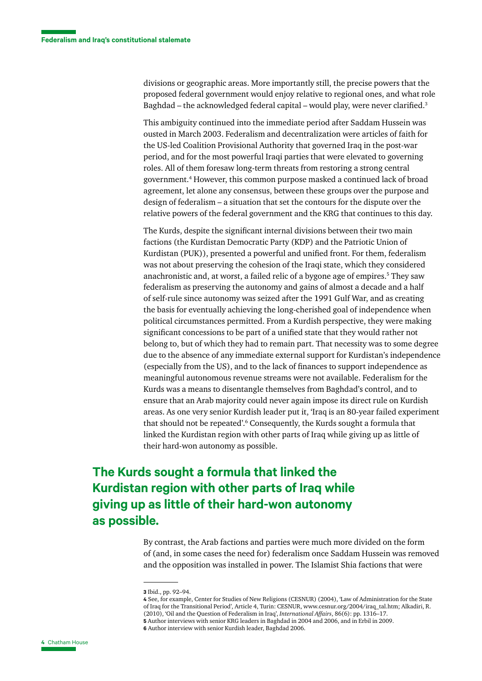divisions or geographic areas. More importantly still, the precise powers that the proposed federal government would enjoy relative to regional ones, and what role Baghdad – the acknowledged federal capital – would play, were never clarified.3

This ambiguity continued into the immediate period after Saddam Hussein was ousted in March 2003. Federalism and decentralization were articles of faith for the US-led Coalition Provisional Authority that governed Iraq in the post-war period, and for the most powerful Iraqi parties that were elevated to governing roles. All of them foresaw long-term threats from restoring a strong central government.4 However, this common purpose masked a continued lack of broad agreement, let alone any consensus, between these groups over the purpose and design of federalism – a situation that set the contours for the dispute over the relative powers of the federal government and the KRG that continues to this day.

The Kurds, despite the significant internal divisions between their two main factions (the Kurdistan Democratic Party (KDP) and the Patriotic Union of Kurdistan (PUK)), presented a powerful and unified front. For them, federalism was not about preserving the cohesion of the Iraqi state, which they considered anachronistic and, at worst, a failed relic of a bygone age of empires.<sup>5</sup> They saw federalism as preserving the autonomy and gains of almost a decade and a half of self-rule since autonomy was seized after the 1991 Gulf War, and as creating the basis for eventually achieving the long-cherished goal of independence when political circumstances permitted. From a Kurdish perspective, they were making significant concessions to be part of a unified state that they would rather not belong to, but of which they had to remain part. That necessity was to some degree due to the absence of any immediate external support for Kurdistan's independence (especially from the US), and to the lack of finances to support independence as meaningful autonomous revenue streams were not available. Federalism for the Kurds was a means to disentangle themselves from Baghdad's control, and to ensure that an Arab majority could never again impose its direct rule on Kurdish areas. As one very senior Kurdish leader put it, 'Iraq is an 80-year failed experiment that should not be repeated'.<sup>6</sup> Consequently, the Kurds sought a formula that linked the Kurdistan region with other parts of Iraq while giving up as little of their hard-won autonomy as possible.

## **The Kurds sought a formula that linked the Kurdistan region with other parts of Iraq while giving up as little of their hard-won autonomy as possible.**

By contrast, the Arab factions and parties were much more divided on the form of (and, in some cases the need for) federalism once Saddam Hussein was removed and the opposition was installed in power. The Islamist Shia factions that were

**4** See, for example, Center for Studies of New Religions (CESNUR) (2004), 'Law of Administration for the State of Iraq for the Transitional Period', Article 4, Turin: CESNUR, [www.cesnur.org/2004/iraq\\_tal.htm;](https://www.cesnur.org/2004/iraq_tal.htm) Alkadiri, R. (2010), 'Oil and the Question of Federalism in Iraq', *International Affairs*, 86(6): pp. 1316–17. **5** Author interviews with senior KRG leaders in Baghdad in 2004 and 2006, and in Erbil in 2009. **6** Author interview with senior Kurdish leader, Baghdad 2006.

**<sup>3</sup>** Ibid., pp. 92–94.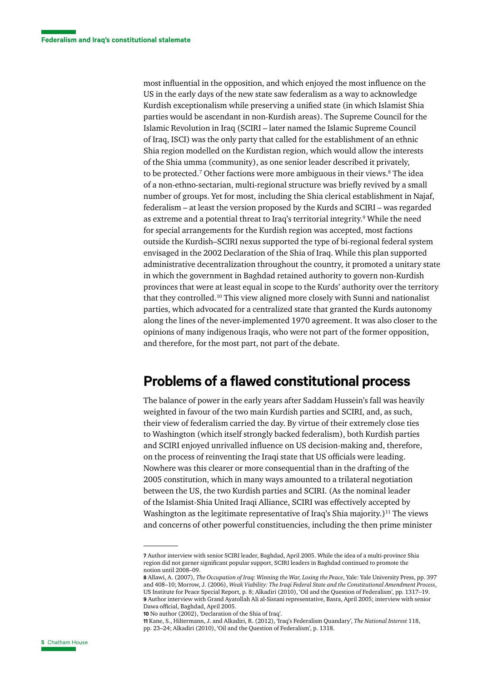most influential in the opposition, and which enjoyed the most influence on the US in the early days of the new state saw federalism as a way to acknowledge Kurdish exceptionalism while preserving a unified state (in which Islamist Shia parties would be ascendant in non-Kurdish areas). The Supreme Council for the Islamic Revolution in Iraq (SCIRI – later named the Islamic Supreme Council of Iraq, ISCI) was the only party that called for the establishment of an ethnic Shia region modelled on the Kurdistan region, which would allow the interests of the Shia umma (community), as one senior leader described it privately, to be protected.<sup>7</sup> Other factions were more ambiguous in their views.<sup>8</sup> The idea of a non-ethno-sectarian, multi-regional structure was briefly revived by a small number of groups. Yet for most, including the Shia clerical establishment in Najaf, federalism – at least the version proposed by the Kurds and SCIRI – was regarded as extreme and a potential threat to Iraq's territorial integrity.<sup>9</sup> While the need for special arrangements for the Kurdish region was accepted, most factions outside the Kurdish–SCIRI nexus supported the type of bi-regional federal system envisaged in the 2002 Declaration of the Shia of Iraq. While this plan supported administrative decentralization throughout the country, it promoted a unitary state in which the government in Baghdad retained authority to govern non-Kurdish provinces that were at least equal in scope to the Kurds' authority over the territory that they controlled.10 This view aligned more closely with Sunni and nationalist parties, which advocated for a centralized state that granted the Kurds autonomy along the lines of the never-implemented 1970 agreement. It was also closer to the opinions of many indigenous Iraqis, who were not part of the former opposition, and therefore, for the most part, not part of the debate.

#### **Problems of a flawed constitutional process**

The balance of power in the early years after Saddam Hussein's fall was heavily weighted in favour of the two main Kurdish parties and SCIRI, and, as such, their view of federalism carried the day. By virtue of their extremely close ties to Washington (which itself strongly backed federalism), both Kurdish parties and SCIRI enjoyed unrivalled influence on US decision-making and, therefore, on the process of reinventing the Iraqi state that US officials were leading. Nowhere was this clearer or more consequential than in the drafting of the 2005 constitution, which in many ways amounted to a trilateral negotiation between the US, the two Kurdish parties and SCIRI. (As the nominal leader of the Islamist-Shia United Iraqi Alliance, SCIRI was effectively accepted by Washington as the legitimate representative of Iraq's Shia majority.)<sup>11</sup> The views and concerns of other powerful constituencies, including the then prime minister

**<sup>7</sup>** Author interview with senior SCIRI leader, Baghdad, April 2005. While the idea of a multi-province Shia region did not garner significant popular support, SCIRI leaders in Baghdad continued to promote the notion until 2008–09.

**<sup>8</sup>** Allawi, A. (2007), *The Occupation of Iraq: Winning the War, Losing the Peace*, Yale: Yale University Press, pp. 397 and 408–10; Morrow, J. (2006), *Weak Viability: The Iraqi Federal State and the Constitutional Amendment Process*, US Institute for Peace Special Report, p. 8; Alkadiri (2010), 'Oil and the Question of Federalism', pp. 1317–19. **9** Author interview with Grand Ayatollah Ali al-Sistani representative, Basra, April 2005; interview with senior Dawa official, Baghdad, April 2005.

**<sup>10</sup>** No author (2002), 'Declaration of the Shia of Iraq'.

**<sup>11</sup>** Kane, S., Hiltermann, J. and Alkadiri, R. (2012), 'Iraq's Federalism Quandary', *The National Interest* 118, pp. 23–24; Alkadiri (2010), 'Oil and the Question of Federalism', p. 1318.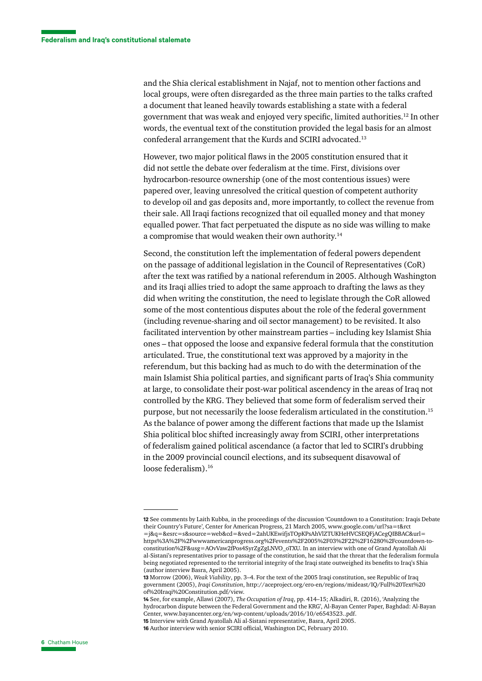and the Shia clerical establishment in Najaf, not to mention other factions and local groups, were often disregarded as the three main parties to the talks crafted a document that leaned heavily towards establishing a state with a federal government that was weak and enjoyed very specific, limited authorities.12 In other words, the eventual text of the constitution provided the legal basis for an almost confederal arrangement that the Kurds and SCIRI advocated.13

However, two major political flaws in the 2005 constitution ensured that it did not settle the debate over federalism at the time. First, divisions over hydrocarbon-resource ownership (one of the most contentious issues) were papered over, leaving unresolved the critical question of competent authority to develop oil and gas deposits and, more importantly, to collect the revenue from their sale. All Iraqi factions recognized that oil equalled money and that money equalled power. That fact perpetuated the dispute as no side was willing to make a compromise that would weaken their own authority.14

Second, the constitution left the implementation of federal powers dependent on the passage of additional legislation in the Council of Representatives (CoR) after the text was ratified by a national referendum in 2005. Although Washington and its Iraqi allies tried to adopt the same approach to drafting the laws as they did when writing the constitution, the need to legislate through the CoR allowed some of the most contentious disputes about the role of the federal government (including revenue-sharing and oil sector management) to be revisited. It also facilitated intervention by other mainstream parties – including key Islamist Shia ones – that opposed the loose and expansive federal formula that the constitution articulated. True, the constitutional text was approved by a majority in the referendum, but this backing had as much to do with the determination of the main Islamist Shia political parties, and significant parts of Iraq's Shia community at large, to consolidate their post-war political ascendency in the areas of Iraq not controlled by the KRG. They believed that some form of federalism served their purpose, but not necessarily the loose federalism articulated in the constitution.15 As the balance of power among the different factions that made up the Islamist Shia political bloc shifted increasingly away from SCIRI, other interpretations of federalism gained political ascendance (a factor that led to SCIRI's drubbing in the 2009 provincial council elections, and its subsequent disavowal of loose federalism).<sup>16</sup>

**<sup>12</sup>** See comments by Laith Kubba, in the proceedings of the discussion 'Countdown to a Constitution: Iraqis Debate their Country's Future', Center for American Progress, 21 March 2005, [www.google.com/url?sa=t&rct](https://www.google.com/url?sa=t&rct=j&q=&esrc=s&source=web&cd=&ved=2ahUKEwifjsTOpKPsAhVlZTUKHeHVCSEQFjACegQIBBAC&url=https%3A%2F%2Fwww.americanprogress.org%2Fevents%2F2005%2F03%2F22%2F16280%2Fcountdown-to-constitution%2F&usg=AOvVaw2fPos4SyrZgZgLNVO_oTXU) [=j&q=&esrc=s&source=web&cd=&ved=2ahUKEwifjsTOpKPsAhVlZTUKHeHVCSEQFjACegQIBBAC&url=](https://www.google.com/url?sa=t&rct=j&q=&esrc=s&source=web&cd=&ved=2ahUKEwifjsTOpKPsAhVlZTUKHeHVCSEQFjACegQIBBAC&url=https%3A%2F%2Fwww.americanprogress.org%2Fevents%2F2005%2F03%2F22%2F16280%2Fcountdown-to-constitution%2F&usg=AOvVaw2fPos4SyrZgZgLNVO_oTXU) [https%3A%2F%2Fwwwamericanprogress.org%2Fevents%2F2005%2F03%2F22%2F16280%2Fcountdown-to](https://www.google.com/url?sa=t&rct=j&q=&esrc=s&source=web&cd=&ved=2ahUKEwifjsTOpKPsAhVlZTUKHeHVCSEQFjACegQIBBAC&url=https%3A%2F%2Fwww.americanprogress.org%2Fevents%2F2005%2F03%2F22%2F16280%2Fcountdown-to-constitution%2F&usg=AOvVaw2fPos4SyrZgZgLNVO_oTXU)[constitution%2F&usg=AOvVaw2fPos4SyrZgZgLNVO\\_oTXU.](https://www.google.com/url?sa=t&rct=j&q=&esrc=s&source=web&cd=&ved=2ahUKEwifjsTOpKPsAhVlZTUKHeHVCSEQFjACegQIBBAC&url=https%3A%2F%2Fwww.americanprogress.org%2Fevents%2F2005%2F03%2F22%2F16280%2Fcountdown-to-constitution%2F&usg=AOvVaw2fPos4SyrZgZgLNVO_oTXU) In an interview with one of Grand Ayatollah Ali al-Sistani's representatives prior to passage of the constitution, he said that the threat that the federalism formula being negotiated represented to the territorial integrity of the Iraqi state outweighed its benefits to Iraq's Shia (author interview Basra, April 2005).

**<sup>13</sup>** Morrow (2006), *Weak Viability*, pp. 3–4. For the text of the 2005 Iraqi constitution, see Republic of Iraq government (2005), *Iraqi Constitution*, [http://aceproject.org/ero-en/regions/mideast/IQ/Full%20Text%20](http://aceproject.org/ero-en/regions/mideast/IQ/Full%20Text%20of%20Iraqi%20Constitution.pdf/view) [of%20Iraqi%20Constitution.pdf/view](http://aceproject.org/ero-en/regions/mideast/IQ/Full%20Text%20of%20Iraqi%20Constitution.pdf/view).

**<sup>14</sup>** See, for example, Allawi (2007), *The Occupation of Iraq*, pp. 414–15; Alkadiri, R. (2016), 'Analyzing the hydrocarbon dispute between the Federal Government and the KRG', Al-Bayan Center Paper, Baghdad: Al-Bayan Center, [www.bayancenter.org/en/wp-content/uploads/2016/10/e6543523..pdf](https://www.bayancenter.org/en/wp-content/uploads/2016/10/e6543523..pdf). **15** Interview with Grand Ayatollah Ali al-Sistani representative, Basra, April 2005.

**<sup>16</sup>** Author interview with senior SCIRI official, Washington DC, February 2010.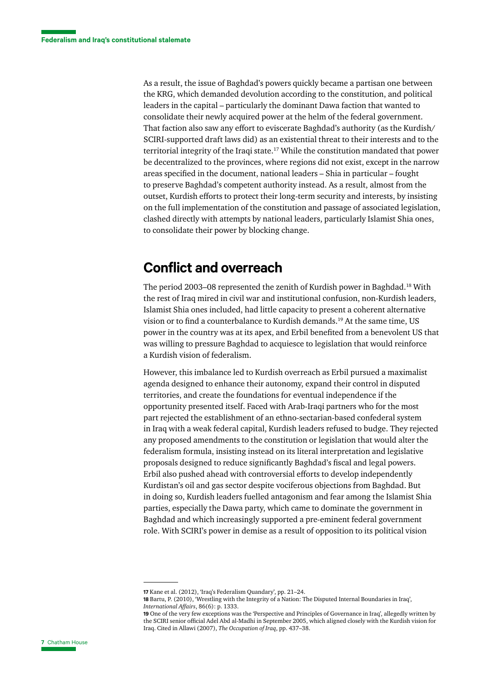As a result, the issue of Baghdad's powers quickly became a partisan one between the KRG, which demanded devolution according to the constitution, and political leaders in the capital – particularly the dominant Dawa faction that wanted to consolidate their newly acquired power at the helm of the federal government. That faction also saw any effort to eviscerate Baghdad's authority (as the Kurdish/ SCIRI-supported draft laws did) as an existential threat to their interests and to the territorial integrity of the Iraqi state.17 While the constitution mandated that power be decentralized to the provinces, where regions did not exist, except in the narrow areas specified in the document, national leaders – Shia in particular – fought to preserve Baghdad's competent authority instead. As a result, almost from the outset, Kurdish efforts to protect their long-term security and interests, by insisting on the full implementation of the constitution and passage of associated legislation, clashed directly with attempts by national leaders, particularly Islamist Shia ones, to consolidate their power by blocking change.

# **Conflict and overreach**

The period 2003–08 represented the zenith of Kurdish power in Baghdad.<sup>18</sup> With the rest of Iraq mired in civil war and institutional confusion, non-Kurdish leaders, Islamist Shia ones included, had little capacity to present a coherent alternative vision or to find a counterbalance to Kurdish demands.19 At the same time, US power in the country was at its apex, and Erbil benefited from a benevolent US that was willing to pressure Baghdad to acquiesce to legislation that would reinforce a Kurdish vision of federalism.

However, this imbalance led to Kurdish overreach as Erbil pursued a maximalist agenda designed to enhance their autonomy, expand their control in disputed territories, and create the foundations for eventual independence if the opportunity presented itself. Faced with Arab-Iraqi partners who for the most part rejected the establishment of an ethno-sectarian-based confederal system in Iraq with a weak federal capital, Kurdish leaders refused to budge. They rejected any proposed amendments to the constitution or legislation that would alter the federalism formula, insisting instead on its literal interpretation and legislative proposals designed to reduce significantly Baghdad's fiscal and legal powers. Erbil also pushed ahead with controversial efforts to develop independently Kurdistan's oil and gas sector despite vociferous objections from Baghdad. But in doing so, Kurdish leaders fuelled antagonism and fear among the Islamist Shia parties, especially the Dawa party, which came to dominate the government in Baghdad and which increasingly supported a pre-eminent federal government role. With SCIRI's power in demise as a result of opposition to its political vision

**<sup>17</sup>** Kane et al. (2012), 'Iraq's Federalism Quandary', pp. 21–24.

**<sup>18</sup>** Bartu, P. (2010), 'Wrestling with the Integrity of a Nation: The Disputed Internal Boundaries in Iraq', *International Affairs*, 86(6): p. 1333.

**<sup>19</sup>** One of the very few exceptions was the 'Perspective and Principles of Governance in Iraq', allegedly written by the SCIRI senior official Adel Abd al-Madhi in September 2005, which aligned closely with the Kurdish vision for Iraq. Cited in Allawi (2007), *The Occupation of Iraq*, pp. 437–38.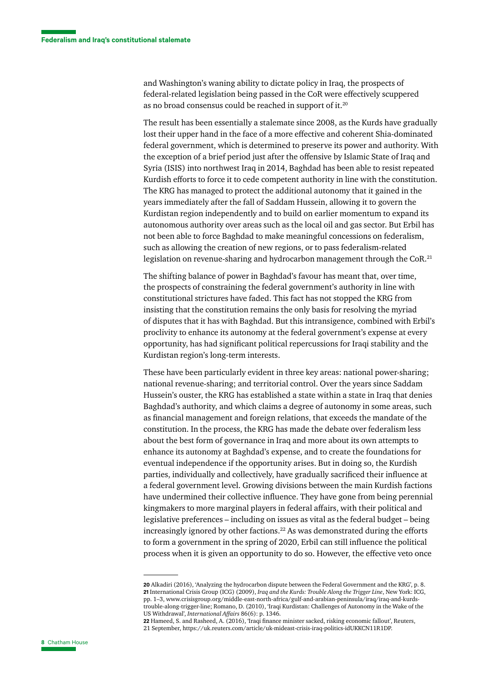and Washington's waning ability to dictate policy in Iraq, the prospects of federal-related legislation being passed in the CoR were effectively scuppered as no broad consensus could be reached in support of it.<sup>20</sup>

The result has been essentially a stalemate since 2008, as the Kurds have gradually lost their upper hand in the face of a more effective and coherent Shia-dominated federal government, which is determined to preserve its power and authority. With the exception of a brief period just after the offensive by Islamic State of Iraq and Syria (ISIS) into northwest Iraq in 2014, Baghdad has been able to resist repeated Kurdish efforts to force it to cede competent authority in line with the constitution. The KRG has managed to protect the additional autonomy that it gained in the years immediately after the fall of Saddam Hussein, allowing it to govern the Kurdistan region independently and to build on earlier momentum to expand its autonomous authority over areas such as the local oil and gas sector. But Erbil has not been able to force Baghdad to make meaningful concessions on federalism, such as allowing the creation of new regions, or to pass federalism-related legislation on revenue-sharing and hydrocarbon management through the CoR.21

The shifting balance of power in Baghdad's favour has meant that, over time, the prospects of constraining the federal government's authority in line with constitutional strictures have faded. This fact has not stopped the KRG from insisting that the constitution remains the only basis for resolving the myriad of disputes that it has with Baghdad. But this intransigence, combined with Erbil's proclivity to enhance its autonomy at the federal government's expense at every opportunity, has had significant political repercussions for Iraqi stability and the Kurdistan region's long-term interests.

These have been particularly evident in three key areas: national power-sharing; national revenue-sharing; and territorial control. Over the years since Saddam Hussein's ouster, the KRG has established a state within a state in Iraq that denies Baghdad's authority, and which claims a degree of autonomy in some areas, such as financial management and foreign relations, that exceeds the mandate of the constitution. In the process, the KRG has made the debate over federalism less about the best form of governance in Iraq and more about its own attempts to enhance its autonomy at Baghdad's expense, and to create the foundations for eventual independence if the opportunity arises. But in doing so, the Kurdish parties, individually and collectively, have gradually sacrificed their influence at a federal government level. Growing divisions between the main Kurdish factions have undermined their collective influence. They have gone from being perennial kingmakers to more marginal players in federal affairs, with their political and legislative preferences – including on issues as vital as the federal budget – being increasingly ignored by other factions.<sup>22</sup> As was demonstrated during the efforts to form a government in the spring of 2020, Erbil can still influence the political process when it is given an opportunity to do so. However, the effective veto once

**<sup>20</sup>** Alkadiri (2016), 'Analyzing the hydrocarbon dispute between the Federal Government and the KRG', p. 8. **21** International Crisis Group (ICG) (2009), *Iraq and the Kurds: Trouble Along the Trigger Line*, New York: ICG, pp. 1–3, [www.crisisgroup.org/middle-east-north-africa/gulf-and-arabian-peninsula/iraq/iraq-and-kurds](https://www.crisisgroup.org/middle-east-north-africa/gulf-and-arabian-peninsula/iraq/iraq-and-kurds-trouble-along-trigger-line)[trouble-along-trigger-line;](https://www.crisisgroup.org/middle-east-north-africa/gulf-and-arabian-peninsula/iraq/iraq-and-kurds-trouble-along-trigger-line) Romano, D. (2010), 'Iraqi Kurdistan: Challenges of Autonomy in the Wake of the US Withdrawal', *International Affairs* 86(6): p. 1346.

**<sup>22</sup>** Hameed, S. and Rasheed, A. (2016), 'Iraqi finance minister sacked, risking economic fallout', Reuters, 21 September, [https://uk.reuters.com/article/uk-mideast-crisis-iraq-politics-idUKKCN11R1DP.](https://uk.reuters.com/article/uk-mideast-crisis-iraq-politics-idUKKCN11R1DP)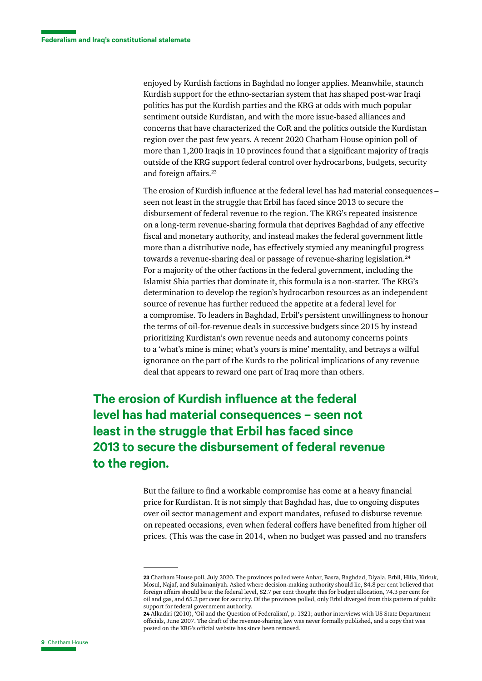enjoyed by Kurdish factions in Baghdad no longer applies. Meanwhile, staunch Kurdish support for the ethno-sectarian system that has shaped post-war Iraqi politics has put the Kurdish parties and the KRG at odds with much popular sentiment outside Kurdistan, and with the more issue-based alliances and concerns that have characterized the CoR and the politics outside the Kurdistan region over the past few years. A recent 2020 Chatham House opinion poll of more than 1,200 Iraqis in 10 provinces found that a significant majority of Iraqis outside of the KRG support federal control over hydrocarbons, budgets, security and foreign affairs.<sup>23</sup>

The erosion of Kurdish influence at the federal level has had material consequences – seen not least in the struggle that Erbil has faced since 2013 to secure the disbursement of federal revenue to the region. The KRG's repeated insistence on a long-term revenue-sharing formula that deprives Baghdad of any effective fiscal and monetary authority, and instead makes the federal government little more than a distributive node, has effectively stymied any meaningful progress towards a revenue-sharing deal or passage of revenue-sharing legislation.<sup>24</sup> For a majority of the other factions in the federal government, including the Islamist Shia parties that dominate it, this formula is a non-starter. The KRG's determination to develop the region's hydrocarbon resources as an independent source of revenue has further reduced the appetite at a federal level for a compromise. To leaders in Baghdad, Erbil's persistent unwillingness to honour the terms of oil-for-revenue deals in successive budgets since 2015 by instead prioritizing Kurdistan's own revenue needs and autonomy concerns points to a 'what's mine is mine; what's yours is mine' mentality, and betrays a wilful ignorance on the part of the Kurds to the political implications of any revenue deal that appears to reward one part of Iraq more than others.

**The erosion of Kurdish influence at the federal level has had material consequences – seen not least in the struggle that Erbil has faced since 2013 to secure the disbursement of federal revenue to the region.**

> But the failure to find a workable compromise has come at a heavy financial price for Kurdistan. It is not simply that Baghdad has, due to ongoing disputes over oil sector management and export mandates, refused to disburse revenue on repeated occasions, even when federal coffers have benefited from higher oil prices. (This was the case in 2014, when no budget was passed and no transfers

**<sup>23</sup>** Chatham House poll, July 2020. The provinces polled were Anbar, Basra, Baghdad, Diyala, Erbil, Hilla, Kirkuk, Mosul, Najaf, and Sulaimaniyah. Asked where decision-making authority should lie, 84.8 per cent believed that foreign affairs should be at the federal level, 82.7 per cent thought this for budget allocation, 74.3 per cent for oil and gas, and 65.2 per cent for security. Of the provinces polled, only Erbil diverged from this pattern of public support for federal government authority.

**<sup>24</sup>** Alkadiri (2010), 'Oil and the Question of Federalism', p. 1321; author interviews with US State Department officials, June 2007. The draft of the revenue-sharing law was never formally published, and a copy that was posted on the KRG's official website has since been removed.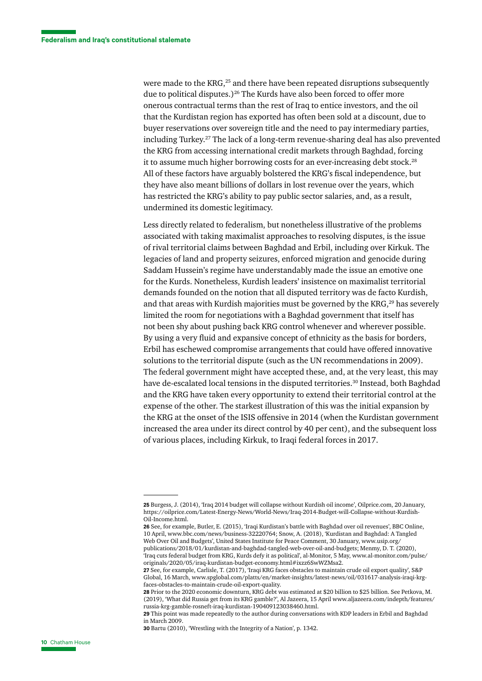were made to the KRG,<sup>25</sup> and there have been repeated disruptions subsequently due to political disputes.)<sup>26</sup> The Kurds have also been forced to offer more onerous contractual terms than the rest of Iraq to entice investors, and the oil that the Kurdistan region has exported has often been sold at a discount, due to buyer reservations over sovereign title and the need to pay intermediary parties, including Turkey.27 The lack of a long-term revenue-sharing deal has also prevented the KRG from accessing international credit markets through Baghdad, forcing it to assume much higher borrowing costs for an ever-increasing debt stock.<sup>28</sup> All of these factors have arguably bolstered the KRG's fiscal independence, but they have also meant billions of dollars in lost revenue over the years, which has restricted the KRG's ability to pay public sector salaries, and, as a result, undermined its domestic legitimacy.

Less directly related to federalism, but nonetheless illustrative of the problems associated with taking maximalist approaches to resolving disputes, is the issue of rival territorial claims between Baghdad and Erbil, including over Kirkuk. The legacies of land and property seizures, enforced migration and genocide during Saddam Hussein's regime have understandably made the issue an emotive one for the Kurds. Nonetheless, Kurdish leaders' insistence on maximalist territorial demands founded on the notion that all disputed territory was de facto Kurdish, and that areas with Kurdish majorities must be governed by the  $KRG<sub>1</sub><sup>29</sup>$  has severely limited the room for negotiations with a Baghdad government that itself has not been shy about pushing back KRG control whenever and wherever possible. By using a very fluid and expansive concept of ethnicity as the basis for borders, Erbil has eschewed compromise arrangements that could have offered innovative solutions to the territorial dispute (such as the UN recommendations in 2009). The federal government might have accepted these, and, at the very least, this may have de-escalated local tensions in the disputed territories.<sup>30</sup> Instead, both Baghdad and the KRG have taken every opportunity to extend their territorial control at the expense of the other. The starkest illustration of this was the initial expansion by the KRG at the onset of the ISIS offensive in 2014 (when the Kurdistan government increased the area under its direct control by 40 per cent), and the subsequent loss of various places, including Kirkuk, to Iraqi federal forces in 2017.

**26** See, for example, Butler, E. (2015), 'Iraqi Kurdistan's battle with Baghdad over oil revenues', BBC Online, 10 April, [www.bbc.com/news/business-32220764](https://www.bbc.com/news/business-32220764); Snow, A. (2018), 'Kurdistan and Baghdad: A Tangled Web Over Oil and Budgets', United States Institute for Peace Comment, 30 January, [www.usip.org/](https://www.usip.org/publications/2018/01/kurdistan-and-baghdad-tangled-web-over-oil-and-budgets) [publications/2018/01/kurdistan-and-baghdad-tangled-web-over-oil-and-budgets](https://www.usip.org/publications/2018/01/kurdistan-and-baghdad-tangled-web-over-oil-and-budgets); Menmy, D. T. (2020), 'Iraq cuts federal budget from KRG, Kurds defy it as political', al-Monitor, 5 May, [www.al-monitor.com/pulse/](https://www.al-monitor.com/pulse/originals/2020/05/iraq-kurdistan-budget-economy.html#ixzz6SwWZMsa2) [originals/2020/05/iraq-kurdistan-budget-economy.html#ixzz6SwWZMsa2](https://www.al-monitor.com/pulse/originals/2020/05/iraq-kurdistan-budget-economy.html#ixzz6SwWZMsa2).

**<sup>25</sup>** Burgess, J. (2014), 'Iraq 2014 budget will collapse without Kurdish oil income', Oilprice.com, 20 January, [https://oilprice.com/Latest-Energy-News/World-News/Iraq-2014-Budget-will-Collapse-without-Kurdish-](https://oilprice.com/Latest-Energy-News/World-News/Iraq-2014-Budget-will-Collapse-without-Kurdish-Oil-Income.html)[Oil-Income.html.](https://oilprice.com/Latest-Energy-News/World-News/Iraq-2014-Budget-will-Collapse-without-Kurdish-Oil-Income.html)

**<sup>27</sup>** See, for example, Carlisle, T. (2017), 'Iraqi KRG faces obstacles to maintain crude oil export quality', S&P Global, 16 March, [www.spglobal.com/platts/en/market-insights/latest-news/oil/031617-analysis-iraqi-krg](https://www.spglobal.com/platts/en/market-insights/latest-news/oil/031617-analysis-iraqi-krg-faces-obstacles-to-maintain-crude-oil-export-quality)[faces-obstacles-to-maintain-crude-oil-export-quality](https://www.spglobal.com/platts/en/market-insights/latest-news/oil/031617-analysis-iraqi-krg-faces-obstacles-to-maintain-crude-oil-export-quality).

**<sup>28</sup>** Prior to the 2020 economic downturn, KRG debt was estimated at \$20 billion to \$25 billion. See Petkova, M. (2019), 'What did Russia get from its KRG gamble?', Al Jazeera, 15 April [www.aljazeera.com/indepth/features/](https://www.aljazeera.com/indepth/features/russia-krg-gamble-rosneft-iraq-kurdistan-190409123038460.html) [russia-krg-gamble-rosneft-iraq-kurdistan-190409123038460.html.](https://www.aljazeera.com/indepth/features/russia-krg-gamble-rosneft-iraq-kurdistan-190409123038460.html)

**<sup>29</sup>** This point was made repeatedly to the author during conversations with KDP leaders in Erbil and Baghdad in March 2009.

**<sup>30</sup>** Bartu (2010), 'Wrestling with the Integrity of a Nation', p. 1342.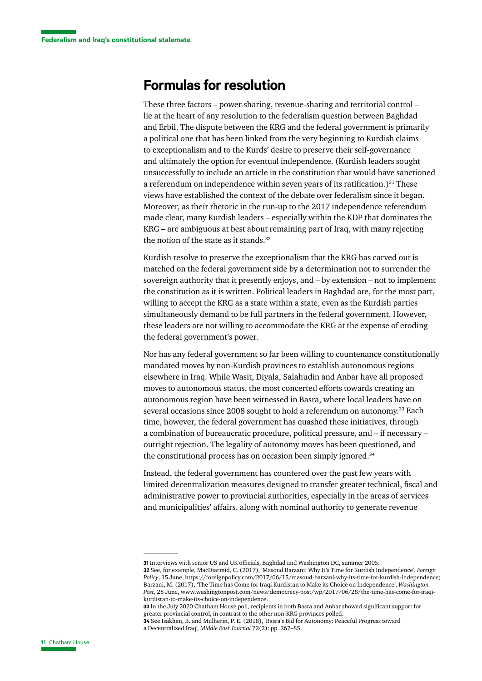#### **Formulas for resolution**

These three factors – power-sharing, revenue-sharing and territorial control – lie at the heart of any resolution to the federalism question between Baghdad and Erbil. The dispute between the KRG and the federal government is primarily a political one that has been linked from the very beginning to Kurdish claims to exceptionalism and to the Kurds' desire to preserve their self-governance and ultimately the option for eventual independence. (Kurdish leaders sought unsuccessfully to include an article in the constitution that would have sanctioned a referendum on independence within seven years of its ratification.)<sup>31</sup> These views have established the context of the debate over federalism since it began. Moreover, as their rhetoric in the run-up to the 2017 independence referendum made clear, many Kurdish leaders – especially within the KDP that dominates the KRG – are ambiguous at best about remaining part of Iraq, with many rejecting the notion of the state as it stands.<sup>32</sup>

Kurdish resolve to preserve the exceptionalism that the KRG has carved out is matched on the federal government side by a determination not to surrender the sovereign authority that it presently enjoys, and – by extension – not to implement the constitution as it is written. Political leaders in Baghdad are, for the most part, willing to accept the KRG as a state within a state, even as the Kurdish parties simultaneously demand to be full partners in the federal government. However, these leaders are not willing to accommodate the KRG at the expense of eroding the federal government's power.

Nor has any federal government so far been willing to countenance constitutionally mandated moves by non-Kurdish provinces to establish autonomous regions elsewhere in Iraq. While Wasit, Diyala, Salahudin and Anbar have all proposed moves to autonomous status, the most concerted efforts towards creating an autonomous region have been witnessed in Basra, where local leaders have on several occasions since 2008 sought to hold a referendum on autonomy.33 Each time, however, the federal government has quashed these initiatives, through a combination of bureaucratic procedure, political pressure, and – if necessary – outright rejection. The legality of autonomy moves has been questioned, and the constitutional process has on occasion been simply ignored.34

Instead, the federal government has countered over the past few years with limited decentralization measures designed to transfer greater technical, fiscal and administrative power to provincial authorities, especially in the areas of services and municipalities' affairs, along with nominal authority to generate revenue

**<sup>31</sup>** Interviews with senior US and UK officials, Baghdad and Washington DC, summer 2005.

**<sup>32</sup>** See, for example, MacDiarmid, C. (2017), 'Masoud Barzani: Why It's Time for Kurdish Independence', *Foreign Policy*, 15 June, [https://foreignpolicy.com/2017/06/15/masoud-barzani-why-its-time-for-kurdish-independence;](https://foreignpolicy.com/2017/06/15/masoud-barzani-why-its-time-for-kurdish-independence/) Barzani, M. (2017), 'The Time has Come for Iraqi Kurdistan to Make its Choice on Independence', *Washington Post*, 28 June, [www.washingtonpost.com/news/democracy-post/wp/2017/06/28/the-time-has-come-for-iraqi](https://www.washingtonpost.com/news/democracy-post/wp/2017/06/28/the-time-has-come-for-iraqi-kurdistan-to-make-its-choice-on-independence/)[kurdistan-to-make-its-choice-on-independence.](https://www.washingtonpost.com/news/democracy-post/wp/2017/06/28/the-time-has-come-for-iraqi-kurdistan-to-make-its-choice-on-independence/)

**<sup>33</sup>** In the July 2020 Chatham House poll, recipients in both Basra and Anbar showed significant support for greater provincial control, in contrast to the other non-KRG provinces polled.

**<sup>34</sup>** See Isakhan, B. and Mulherin, P. E. (2018), 'Basra's Bid for Autonomy: Peaceful Progress toward a Decentralized Iraq', *Middle East Journal* 72(2): pp. 267–85.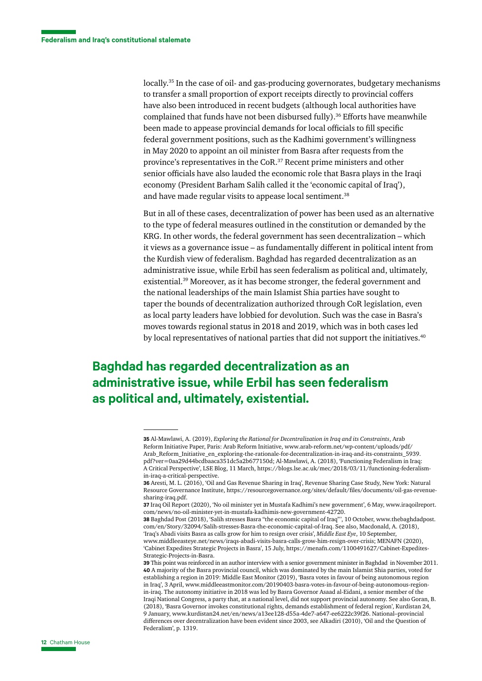locally.<sup>35</sup> In the case of oil- and gas-producing governorates, budgetary mechanisms to transfer a small proportion of export receipts directly to provincial coffers have also been introduced in recent budgets (although local authorities have complained that funds have not been disbursed fully).<sup>36</sup> Efforts have meanwhile been made to appease provincial demands for local officials to fill specific federal government positions, such as the Kadhimi government's willingness in May 2020 to appoint an oil minister from Basra after requests from the province's representatives in the CoR.37 Recent prime ministers and other senior officials have also lauded the economic role that Basra plays in the Iraqi economy (President Barham Salih called it the 'economic capital of Iraq'), and have made regular visits to appease local sentiment.<sup>38</sup>

But in all of these cases, decentralization of power has been used as an alternative to the type of federal measures outlined in the constitution or demanded by the KRG. In other words, the federal government has seen decentralization – which it views as a governance issue – as fundamentally different in political intent from the Kurdish view of federalism. Baghdad has regarded decentralization as an administrative issue, while Erbil has seen federalism as political and, ultimately, existential.39 Moreover, as it has become stronger, the federal government and the national leaderships of the main Islamist Shia parties have sought to taper the bounds of decentralization authorized through CoR legislation, even as local party leaders have lobbied for devolution. Such was the case in Basra's moves towards regional status in 2018 and 2019, which was in both cases led by local representatives of national parties that did not support the initiatives.<sup>40</sup>

## **Baghdad has regarded decentralization as an administrative issue, while Erbil has seen federalism as political and, ultimately, existential.**

**38** Baghdad Post (2018), 'Salih stresses Basra "the economic capital of Iraq"', 10 October, [www.thebaghdadpost.](https://www.thebaghdadpost.com/en/Story/32094/Salih-stresses-Basra-the-economic-capital-of-Iraq) [com/en/Story/32094/Salih-stresses-Basra-the-economic-capital-of-Iraq](https://www.thebaghdadpost.com/en/Story/32094/Salih-stresses-Basra-the-economic-capital-of-Iraq). See also, Macdonald, A. (2018), 'Iraq's Abadi visits Basra as calls grow for him to resign over crisis', *Middle East Eye*, 10 September, [www.middleeasteye.net/news/iraqs-abadi-visits-basra-calls-grow-him-resign-over-crisis;](https://www.middleeasteye.net/news/iraqs-abadi-visits-basra-calls-grow-him-resign-over-crisis) MENAFN (2020), 'Cabinet Expedites Strategic Projects in Basra', 15 July, [https://menafn.com/1100491627/Cabinet-Expedites-](https://menafn.com/1100491627/Cabinet-Expedites-Strategic-Projects-in-Basra)[Strategic-Projects-in-Basra](https://menafn.com/1100491627/Cabinet-Expedites-Strategic-Projects-in-Basra).

**<sup>35</sup>** Al-Mawlawi, A. (2019), *Exploring the Rational for Decentralization in Iraq and its Constraints*, Arab Reform Initiative Paper, Paris: Arab Reform Initiative, [www.arab-reform.net/wp-content/uploads/pdf/](https://www.arab-reform.net/wp-content/uploads/pdf/Arab_Reform_Initiative_en_exploring-the-rationale-for-decentralization-in-iraq-and-its-constraints_5939.pdf?ver=0aa29d44bcdbaaca351dc5a2b677150d) [Arab\\_Reform\\_Initiative\\_en\\_exploring-the-rationale-for-decentralization-in-iraq-and-its-constraints\\_5939.](https://www.arab-reform.net/wp-content/uploads/pdf/Arab_Reform_Initiative_en_exploring-the-rationale-for-decentralization-in-iraq-and-its-constraints_5939.pdf?ver=0aa29d44bcdbaaca351dc5a2b677150d) [pdf?ver=0aa29d44bcdbaaca351dc5a2b677150d](https://www.arab-reform.net/wp-content/uploads/pdf/Arab_Reform_Initiative_en_exploring-the-rationale-for-decentralization-in-iraq-and-its-constraints_5939.pdf?ver=0aa29d44bcdbaaca351dc5a2b677150d); Al-Mawlawi, A. (2018), 'Functioning Federalism in Iraq: A Critical Perspective', LSE Blog, 11 March, [https://blogs.lse.ac.uk/mec/2018/03/11/functioning-federalism](https://blogs.lse.ac.uk/mec/2018/03/11/functioning-federalism-in-iraq-a-critical-perspective)[in-iraq-a-critical-perspective.](https://blogs.lse.ac.uk/mec/2018/03/11/functioning-federalism-in-iraq-a-critical-perspective)

**<sup>36</sup>** Aresti, M. L. (2016), 'Oil and Gas Revenue Sharing in Iraq', Revenue Sharing Case Study, New York: Natural Resource Governance Institute, [https://resourcegovernance.org/sites/default/files/documents/oil-gas-revenue](https://resourcegovernance.org/sites/default/files/documents/oil-gas-revenue-sharing-iraq.pdf)[sharing-iraq.pdf.](https://resourcegovernance.org/sites/default/files/documents/oil-gas-revenue-sharing-iraq.pdf)

**<sup>37</sup>** Iraq Oil Report (2020), 'No oil minister yet in Mustafa Kadhimi's new government', 6 May, [www.iraqoilreport.](https://www.iraqoilreport.com/news/no-oil-minister-yet-in-mustafa-kadhimis-new-government-42720/) [com/news/no-oil-minister-yet-in-mustafa-kadhimis-new-government-42720.](https://www.iraqoilreport.com/news/no-oil-minister-yet-in-mustafa-kadhimis-new-government-42720/)

**<sup>39</sup>** This point was reinforced in an author interview with a senior government minister in Baghdad in November 2011. **40** A majority of the Basra provincial council, which was dominated by the main Islamist Shia parties, voted for establishing a region in 2019: Middle East Monitor (2019), 'Basra votes in favour of being autonomous region in Iraq', 3 April, [www.middleeastmonitor.com/20190403-basra-votes-in-favour-of-being-autonomous-region](https://www.middleeastmonitor.com/20190403-basra-votes-in-favour-of-being-autonomous-region-in-iraq/)[in-iraq.](https://www.middleeastmonitor.com/20190403-basra-votes-in-favour-of-being-autonomous-region-in-iraq/) The autonomy initiative in 2018 was led by Basra Governor Asaad al-Eidani, a senior member of the Iraqi National Congress, a party that, at a national level, did not support provincial autonomy. See also Goran, B. (2018), 'Basra Governor invokes constitutional rights, demands establishment of federal region', Kurdistan 24, 9 January, [www.kurdistan24.net/en/news/a13ee128-d55a-4de7-a647-ee6222c39f26.](https://www.kurdistan24.net/en/news/a13ee128-d55a-4de7-a647-ee6222c39f26) National–provincial differences over decentralization have been evident since 2003, see Alkadiri (2010), 'Oil and the Question of Federalism', p. 1319.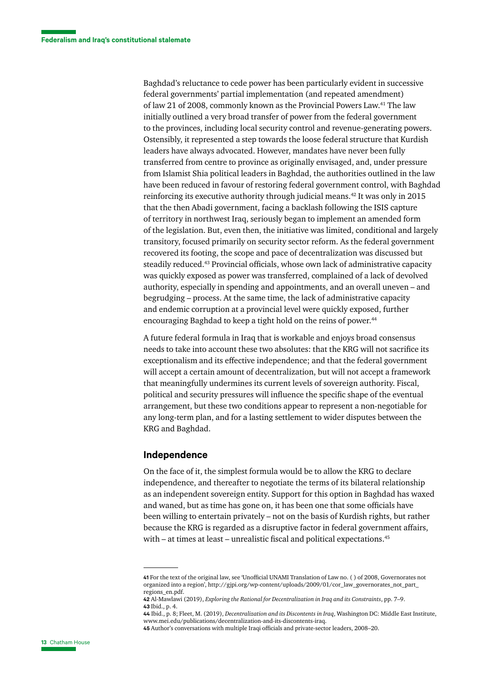Baghdad's reluctance to cede power has been particularly evident in successive federal governments' partial implementation (and repeated amendment) of law 21 of 2008, commonly known as the Provincial Powers Law.41 The law initially outlined a very broad transfer of power from the federal government to the provinces, including local security control and revenue-generating powers. Ostensibly, it represented a step towards the loose federal structure that Kurdish leaders have always advocated. However, mandates have never been fully transferred from centre to province as originally envisaged, and, under pressure from Islamist Shia political leaders in Baghdad, the authorities outlined in the law have been reduced in favour of restoring federal government control, with Baghdad reinforcing its executive authority through judicial means.42 It was only in 2015 that the then Abadi government, facing a backlash following the ISIS capture of territory in northwest Iraq, seriously began to implement an amended form of the legislation. But, even then, the initiative was limited, conditional and largely transitory, focused primarily on security sector reform. As the federal government recovered its footing, the scope and pace of decentralization was discussed but steadily reduced.43 Provincial officials, whose own lack of administrative capacity was quickly exposed as power was transferred, complained of a lack of devolved authority, especially in spending and appointments, and an overall uneven – and begrudging – process. At the same time, the lack of administrative capacity and endemic corruption at a provincial level were quickly exposed, further encouraging Baghdad to keep a tight hold on the reins of power.<sup>44</sup>

A future federal formula in Iraq that is workable and enjoys broad consensus needs to take into account these two absolutes: that the KRG will not sacrifice its exceptionalism and its effective independence; and that the federal government will accept a certain amount of decentralization, but will not accept a framework that meaningfully undermines its current levels of sovereign authority. Fiscal, political and security pressures will influence the specific shape of the eventual arrangement, but these two conditions appear to represent a non-negotiable for any long-term plan, and for a lasting settlement to wider disputes between the KRG and Baghdad.

#### **Independence**

On the face of it, the simplest formula would be to allow the KRG to declare independence, and thereafter to negotiate the terms of its bilateral relationship as an independent sovereign entity. Support for this option in Baghdad has waxed and waned, but as time has gone on, it has been one that some officials have been willing to entertain privately – not on the basis of Kurdish rights, but rather because the KRG is regarded as a disruptive factor in federal government affairs, with – at times at least – unrealistic fiscal and political expectations.<sup>45</sup>

**<sup>41</sup>** For the text of the original law, see 'Unofficial UNAMI Translation of Law no. ( ) of 2008, Governorates not organized into a region', [http://gjpi.org/wp-content/uploads/2009/01/cor\\_law\\_governorates\\_not\\_part\\_](http://gjpi.org/wp-content/uploads/2009/01/cor_law_governorates_not_part_regions_en.pdf) [regions\\_en.pdf.](http://gjpi.org/wp-content/uploads/2009/01/cor_law_governorates_not_part_regions_en.pdf)

**<sup>42</sup>** Al-Mawlawi (2019), *Exploring the Rational for Decentralization in Iraq and its Constraints*, pp. 7–9. **43** Ibid., p. 4.

**<sup>44</sup>** Ibid., p. 8; Fleet, M. (2019), *Decentralization and its Discontents in Iraq*, Washington DC: Middle East Institute, [www.mei.edu/publications/decentralization-and-its-discontents-iraq.](https://www.mei.edu/publications/decentralization-and-its-discontents-iraq)

**<sup>45</sup>** Author's conversations with multiple Iraqi officials and private-sector leaders, 2008–20.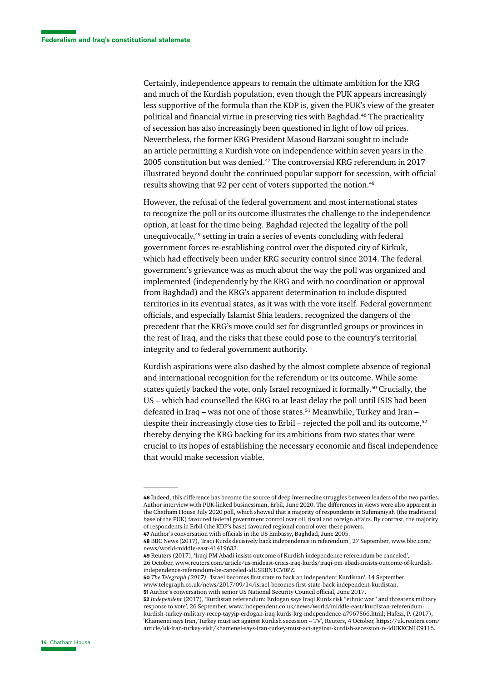Certainly, independence appears to remain the ultimate ambition for the KRG and much of the Kurdish population, even though the PUK appears increasingly less supportive of the formula than the KDP is, given the PUK's view of the greater political and financial virtue in preserving ties with Baghdad.46 The practicality of secession has also increasingly been questioned in light of low oil prices. Nevertheless, the former KRG President Masoud Barzani sought to include an article permitting a Kurdish vote on independence within seven years in the 2005 constitution but was denied.47 The controversial KRG referendum in 2017 illustrated beyond doubt the continued popular support for secession, with official results showing that 92 per cent of voters supported the notion.<sup>48</sup>

However, the refusal of the federal government and most international states to recognize the poll or its outcome illustrates the challenge to the independence option, at least for the time being. Baghdad rejected the legality of the poll unequivocally,49 setting in train a series of events concluding with federal government forces re-establishing control over the disputed city of Kirkuk, which had effectively been under KRG security control since 2014. The federal government's grievance was as much about the way the poll was organized and implemented (independently by the KRG and with no coordination or approval from Baghdad) and the KRG's apparent determination to include disputed territories in its eventual states, as it was with the vote itself. Federal government officials, and especially Islamist Shia leaders, recognized the dangers of the precedent that the KRG's move could set for disgruntled groups or provinces in the rest of Iraq, and the risks that these could pose to the country's territorial integrity and to federal government authority.

Kurdish aspirations were also dashed by the almost complete absence of regional and international recognition for the referendum or its outcome. While some states quietly backed the vote, only Israel recognized it formally.50 Crucially, the US – which had counselled the KRG to at least delay the poll until ISIS had been defeated in Iraq – was not one of those states.<sup>51</sup> Meanwhile, Turkey and Iran – despite their increasingly close ties to Erbil – rejected the poll and its outcome, $52$ thereby denying the KRG backing for its ambitions from two states that were crucial to its hopes of establishing the necessary economic and fiscal independence that would make secession viable.

**47** Author's conversation with officials in the US Embassy, Baghdad, June 2005.

**49** Reuters (2017), 'Iraqi PM Abadi insists outcome of Kurdish independence referendum be canceled', 26 October, [www.reuters.com/article/us-mideast-crisis-iraq-kurds/iraqi-pm-abadi-insists-outcome-of-kurdish](https://www.reuters.com/article/us-mideast-crisis-iraq-kurds/iraqi-pm-abadi-insists-outcome-of-kurdish-independence-referendum-be-canceled-idUSKBN1CV0PZ)[independence-referendum-be-canceled-idUSKBN1CV0PZ](https://www.reuters.com/article/us-mideast-crisis-iraq-kurds/iraqi-pm-abadi-insists-outcome-of-kurdish-independence-referendum-be-canceled-idUSKBN1CV0PZ).

**50** *The Telegraph (2017), '*Israel becomes first state to back an independent Kurdistan', 14 September,

[www.telegraph.co.uk/news/2017/09/14/israel-becomes-first-state-back-independent-kurdistan](https://www.telegraph.co.uk/news/2017/09/14/israel-becomes-first-state-back-independent-kurdistan/).

**51** Author's conversation with senior US National Security Council official, June 2017.

**52** *Independent* (2017), 'Kurdistan referendum: Erdogan says Iraqi Kurds risk "ethnic war" and threatens military response to vote', 26 September, [www.independent.co.uk/news/world/middle-east/kurdistan-referendum](https://www.independent.co.uk/news/world/middle-east/kurdistan-referendum-kurdish-turkey-military-recep-tayyip-erdogan-iraq-kurds-krg-independence-a7967566.html)[kurdish-turkey-military-recep-tayyip-erdogan-iraq-kurds-krg-independence-a7967566.html;](https://www.independent.co.uk/news/world/middle-east/kurdistan-referendum-kurdish-turkey-military-recep-tayyip-erdogan-iraq-kurds-krg-independence-a7967566.html) Hafezi, P. (2017), 'Khamenei says Iran, Turkey must act against Kurdish secession – TV', Reuters, 4 October, [https://uk.reuters.com/](https://uk.reuters.com/article/uk-iran-turkey-visit/khamenei-says-iran-turkey-must-act-against-kurdish-secession-tv-idUKKCN1C9116) [article/uk-iran-turkey-visit/khamenei-says-iran-turkey-must-act-against-kurdish-secession-tv-idUKKCN1C9116.](https://uk.reuters.com/article/uk-iran-turkey-visit/khamenei-says-iran-turkey-must-act-against-kurdish-secession-tv-idUKKCN1C9116)

**<sup>46</sup>** Indeed, this difference has become the source of deep internecine struggles between leaders of the two parties. Author interview with PUK-linked businessman, Erbil, June 2020. The differences in views were also apparent in the Chatham House July 2020 poll, which showed that a majority of respondents in Sulimaniyah (the traditional base of the PUK) favoured federal government control over oil, fiscal and foreign affairs. By contrast, the majority of respondents in Erbil (the KDP's base) favoured regional control over these powers.

**<sup>48</sup>** BBC News (2017), 'Iraqi Kurds decisively back independence in referendum', 27 September, [www.bbc.com/](https://www.bbc.com/news/world-middle-east-41419633) [news/world-middle-east-41419633.](https://www.bbc.com/news/world-middle-east-41419633)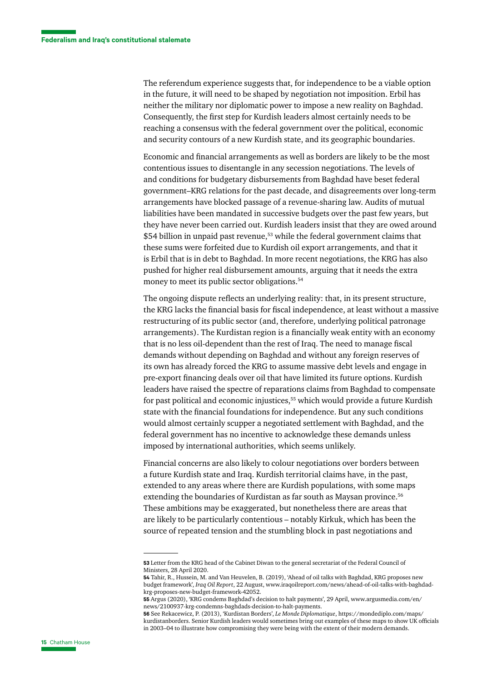The referendum experience suggests that, for independence to be a viable option in the future, it will need to be shaped by negotiation not imposition. Erbil has neither the military nor diplomatic power to impose a new reality on Baghdad. Consequently, the first step for Kurdish leaders almost certainly needs to be reaching a consensus with the federal government over the political, economic and security contours of a new Kurdish state, and its geographic boundaries.

Economic and financial arrangements as well as borders are likely to be the most contentious issues to disentangle in any secession negotiations. The levels of and conditions for budgetary disbursements from Baghdad have beset federal government–KRG relations for the past decade, and disagreements over long-term arrangements have blocked passage of a revenue-sharing law. Audits of mutual liabilities have been mandated in successive budgets over the past few years, but they have never been carried out. Kurdish leaders insist that they are owed around \$54 billion in unpaid past revenue,<sup>53</sup> while the federal government claims that these sums were forfeited due to Kurdish oil export arrangements, and that it is Erbil that is in debt to Baghdad. In more recent negotiations, the KRG has also pushed for higher real disbursement amounts, arguing that it needs the extra money to meet its public sector obligations.<sup>54</sup>

The ongoing dispute reflects an underlying reality: that, in its present structure, the KRG lacks the financial basis for fiscal independence, at least without a massive restructuring of its public sector (and, therefore, underlying political patronage arrangements). The Kurdistan region is a financially weak entity with an economy that is no less oil-dependent than the rest of Iraq. The need to manage fiscal demands without depending on Baghdad and without any foreign reserves of its own has already forced the KRG to assume massive debt levels and engage in pre-export financing deals over oil that have limited its future options. Kurdish leaders have raised the spectre of reparations claims from Baghdad to compensate for past political and economic injustices,<sup>55</sup> which would provide a future Kurdish state with the financial foundations for independence. But any such conditions would almost certainly scupper a negotiated settlement with Baghdad, and the federal government has no incentive to acknowledge these demands unless imposed by international authorities, which seems unlikely.

Financial concerns are also likely to colour negotiations over borders between a future Kurdish state and Iraq. Kurdish territorial claims have, in the past, extended to any areas where there are Kurdish populations, with some maps extending the boundaries of Kurdistan as far south as Maysan province.56 These ambitions may be exaggerated, but nonetheless there are areas that are likely to be particularly contentious – notably Kirkuk, which has been the source of repeated tension and the stumbling block in past negotiations and

**<sup>53</sup>** Letter from the KRG head of the Cabinet Diwan to the general secretariat of the Federal Council of Ministers, 28 April 2020.

**<sup>54</sup>** Tahir, R., Hussein, M. and Van Heuvelen, B. (2019), 'Ahead of oil talks with Baghdad, KRG proposes new budget framework', *Iraq Oil Report*, 22 August, [www.iraqoilreport.com/news/ahead-of-oil-talks-with-baghdad](https://www.iraqoilreport.com/news/ahead-of-oil-talks-with-baghdad-krg-proposes-new-budget-framework-42052/)[krg-proposes-new-budget-framework-42052.](https://www.iraqoilreport.com/news/ahead-of-oil-talks-with-baghdad-krg-proposes-new-budget-framework-42052/)

**<sup>55</sup>** Argus (2020), 'KRG condems Baghdad's decision to halt payments', 29 April, [www.argusmedia.com/en/](https://www.argusmedia.com/en/news/2100937-krg-condemns-baghdads-decision-to-halt-payments) [news/2100937-krg-condemns-baghdads-decision-to-halt-payments.](https://www.argusmedia.com/en/news/2100937-krg-condemns-baghdads-decision-to-halt-payments)

**<sup>56</sup>** See Rekacewicz, P. (2013), 'Kurdistan Borders', *Le Monde Diplomatique*, [https://mondediplo.com/maps/](https://mondediplo.com/maps/kurdistanborders) [kurdistanborders](https://mondediplo.com/maps/kurdistanborders). Senior Kurdish leaders would sometimes bring out examples of these maps to show UK officials in 2003–04 to illustrate how compromising they were being with the extent of their modern demands.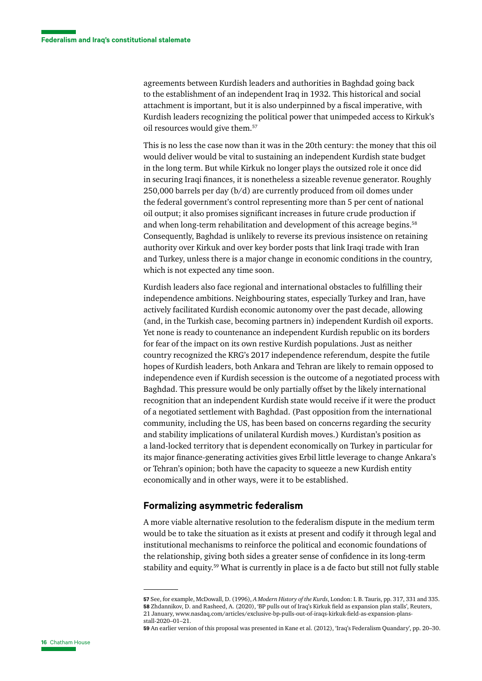agreements between Kurdish leaders and authorities in Baghdad going back to the establishment of an independent Iraq in 1932. This historical and social attachment is important, but it is also underpinned by a fiscal imperative, with Kurdish leaders recognizing the political power that unimpeded access to Kirkuk's oil resources would give them.57

This is no less the case now than it was in the 20th century: the money that this oil would deliver would be vital to sustaining an independent Kurdish state budget in the long term. But while Kirkuk no longer plays the outsized role it once did in securing Iraqi finances, it is nonetheless a sizeable revenue generator. Roughly 250,000 barrels per day (b/d) are currently produced from oil domes under the federal government's control representing more than 5 per cent of national oil output; it also promises significant increases in future crude production if and when long-term rehabilitation and development of this acreage begins.<sup>58</sup> Consequently, Baghdad is unlikely to reverse its previous insistence on retaining authority over Kirkuk and over key border posts that link Iraqi trade with Iran and Turkey, unless there is a major change in economic conditions in the country, which is not expected any time soon.

Kurdish leaders also face regional and international obstacles to fulfilling their independence ambitions. Neighbouring states, especially Turkey and Iran, have actively facilitated Kurdish economic autonomy over the past decade, allowing (and, in the Turkish case, becoming partners in) independent Kurdish oil exports. Yet none is ready to countenance an independent Kurdish republic on its borders for fear of the impact on its own restive Kurdish populations. Just as neither country recognized the KRG's 2017 independence referendum, despite the futile hopes of Kurdish leaders, both Ankara and Tehran are likely to remain opposed to independence even if Kurdish secession is the outcome of a negotiated process with Baghdad. This pressure would be only partially offset by the likely international recognition that an independent Kurdish state would receive if it were the product of a negotiated settlement with Baghdad. (Past opposition from the international community, including the US, has been based on concerns regarding the security and stability implications of unilateral Kurdish moves.) Kurdistan's position as a land-locked territory that is dependent economically on Turkey in particular for its major finance-generating activities gives Erbil little leverage to change Ankara's or Tehran's opinion; both have the capacity to squeeze a new Kurdish entity economically and in other ways, were it to be established.

#### **Formalizing asymmetric federalism**

A more viable alternative resolution to the federalism dispute in the medium term would be to take the situation as it exists at present and codify it through legal and institutional mechanisms to reinforce the political and economic foundations of the relationship, giving both sides a greater sense of confidence in its long-term stability and equity.59 What is currently in place is a de facto but still not fully stable

**<sup>57</sup>** See, for example, McDowall, D. (1996), *A Modern History of the Kurds*, London: I. B. Tauris, pp. 317, 331 and 335. **58** Zhdannikov, D. and Rasheed, A. (2020), 'BP pulls out of Iraq's Kirkuk field as expansion plan stalls', Reuters, 21 January, [www.nasdaq.com/articles/exclusive-bp-pulls-out-of-iraqs-kirkuk-field-as-expansion-plans](https://www.nasdaq.com/articles/exclusive-bp-pulls-out-of-iraqs-kirkuk-field-as-expansion-plans-stall-2020-01-21)[stall-2020–01–21](https://www.nasdaq.com/articles/exclusive-bp-pulls-out-of-iraqs-kirkuk-field-as-expansion-plans-stall-2020-01-21).

**<sup>59</sup>** An earlier version of this proposal was presented in Kane et al. (2012), 'Iraq's Federalism Quandary', pp. 20–30.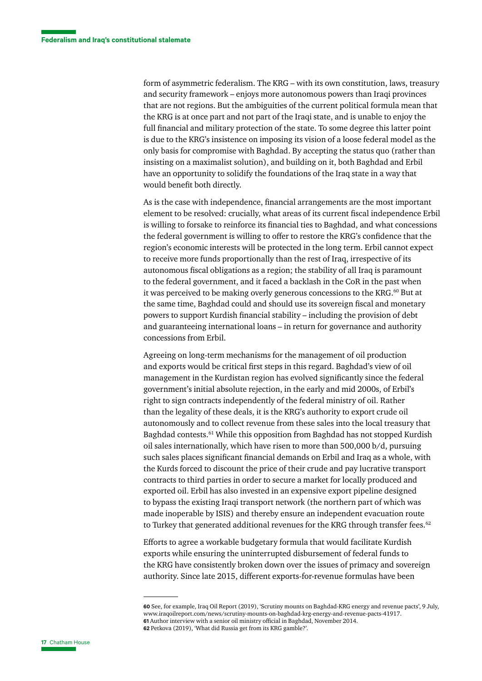form of asymmetric federalism. The KRG – with its own constitution, laws, treasury and security framework – enjoys more autonomous powers than Iraqi provinces that are not regions. But the ambiguities of the current political formula mean that the KRG is at once part and not part of the Iraqi state, and is unable to enjoy the full financial and military protection of the state. To some degree this latter point is due to the KRG's insistence on imposing its vision of a loose federal model as the only basis for compromise with Baghdad. By accepting the status quo (rather than insisting on a maximalist solution), and building on it, both Baghdad and Erbil have an opportunity to solidify the foundations of the Iraq state in a way that would benefit both directly.

As is the case with independence, financial arrangements are the most important element to be resolved: crucially, what areas of its current fiscal independence Erbil is willing to forsake to reinforce its financial ties to Baghdad, and what concessions the federal government is willing to offer to restore the KRG's confidence that the region's economic interests will be protected in the long term. Erbil cannot expect to receive more funds proportionally than the rest of Iraq, irrespective of its autonomous fiscal obligations as a region; the stability of all Iraq is paramount to the federal government, and it faced a backlash in the CoR in the past when it was perceived to be making overly generous concessions to the KRG.<sup>60</sup> But at the same time, Baghdad could and should use its sovereign fiscal and monetary powers to support Kurdish financial stability – including the provision of debt and guaranteeing international loans – in return for governance and authority concessions from Erbil.

Agreeing on long-term mechanisms for the management of oil production and exports would be critical first steps in this regard. Baghdad's view of oil management in the Kurdistan region has evolved significantly since the federal government's initial absolute rejection, in the early and mid 2000s, of Erbil's right to sign contracts independently of the federal ministry of oil. Rather than the legality of these deals, it is the KRG's authority to export crude oil autonomously and to collect revenue from these sales into the local treasury that Baghdad contests.<sup>61</sup> While this opposition from Baghdad has not stopped Kurdish oil sales internationally, which have risen to more than 500,000 b/d, pursuing such sales places significant financial demands on Erbil and Iraq as a whole, with the Kurds forced to discount the price of their crude and pay lucrative transport contracts to third parties in order to secure a market for locally produced and exported oil. Erbil has also invested in an expensive export pipeline designed to bypass the existing Iraqi transport network (the northern part of which was made inoperable by ISIS) and thereby ensure an independent evacuation route to Turkey that generated additional revenues for the KRG through transfer fees.<sup>62</sup>

Efforts to agree a workable budgetary formula that would facilitate Kurdish exports while ensuring the uninterrupted disbursement of federal funds to the KRG have consistently broken down over the issues of primacy and sovereign authority. Since late 2015, different exports-for-revenue formulas have been

**<sup>60</sup>** See, for example, Iraq Oil Report (2019), 'Scrutiny mounts on Baghdad-KRG energy and revenue pacts', 9 July, [www.iraqoilreport.com/news/scrutiny-mounts-on-baghdad-krg-energy-and-revenue-pacts-41917](https://www.iraqoilreport.com/news/scrutiny-mounts-on-baghdad-krg-energy-and-revenue-pacts-41917/). **61** Author interview with a senior oil ministry official in Baghdad, November 2014. **62** Petkova (2019), 'What did Russia get from its KRG gamble?'.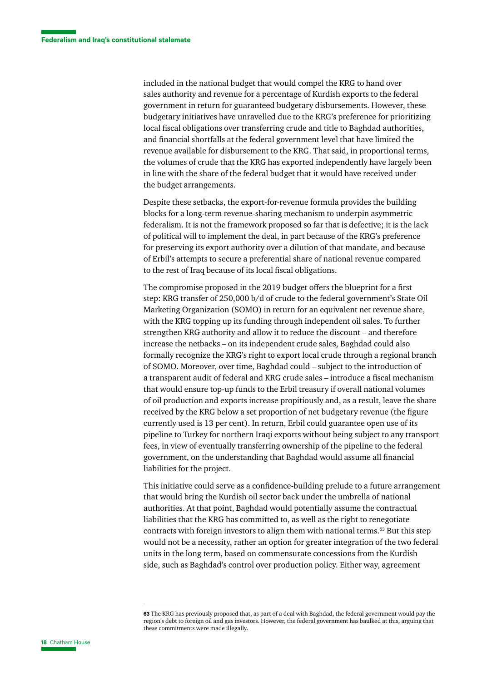included in the national budget that would compel the KRG to hand over sales authority and revenue for a percentage of Kurdish exports to the federal government in return for guaranteed budgetary disbursements. However, these budgetary initiatives have unravelled due to the KRG's preference for prioritizing local fiscal obligations over transferring crude and title to Baghdad authorities, and financial shortfalls at the federal government level that have limited the revenue available for disbursement to the KRG. That said, in proportional terms, the volumes of crude that the KRG has exported independently have largely been in line with the share of the federal budget that it would have received under the budget arrangements.

Despite these setbacks, the export-for-revenue formula provides the building blocks for a long-term revenue-sharing mechanism to underpin asymmetric federalism. It is not the framework proposed so far that is defective; it is the lack of political will to implement the deal, in part because of the KRG's preference for preserving its export authority over a dilution of that mandate, and because of Erbil's attempts to secure a preferential share of national revenue compared to the rest of Iraq because of its local fiscal obligations.

The compromise proposed in the 2019 budget offers the blueprint for a first step: KRG transfer of 250,000 b/d of crude to the federal government's State Oil Marketing Organization (SOMO) in return for an equivalent net revenue share, with the KRG topping up its funding through independent oil sales. To further strengthen KRG authority and allow it to reduce the discount – and therefore increase the netbacks – on its independent crude sales, Baghdad could also formally recognize the KRG's right to export local crude through a regional branch of SOMO. Moreover, over time, Baghdad could – subject to the introduction of a transparent audit of federal and KRG crude sales – introduce a fiscal mechanism that would ensure top-up funds to the Erbil treasury if overall national volumes of oil production and exports increase propitiously and, as a result, leave the share received by the KRG below a set proportion of net budgetary revenue (the figure currently used is 13 per cent). In return, Erbil could guarantee open use of its pipeline to Turkey for northern Iraqi exports without being subject to any transport fees, in view of eventually transferring ownership of the pipeline to the federal government, on the understanding that Baghdad would assume all financial liabilities for the project.

This initiative could serve as a confidence-building prelude to a future arrangement that would bring the Kurdish oil sector back under the umbrella of national authorities. At that point, Baghdad would potentially assume the contractual liabilities that the KRG has committed to, as well as the right to renegotiate contracts with foreign investors to align them with national terms.63 But this step would not be a necessity, rather an option for greater integration of the two federal units in the long term, based on commensurate concessions from the Kurdish side, such as Baghdad's control over production policy. Either way, agreement

**<sup>63</sup>** The KRG has previously proposed that, as part of a deal with Baghdad, the federal government would pay the region's debt to foreign oil and gas investors. However, the federal government has baulked at this, arguing that these commitments were made illegally.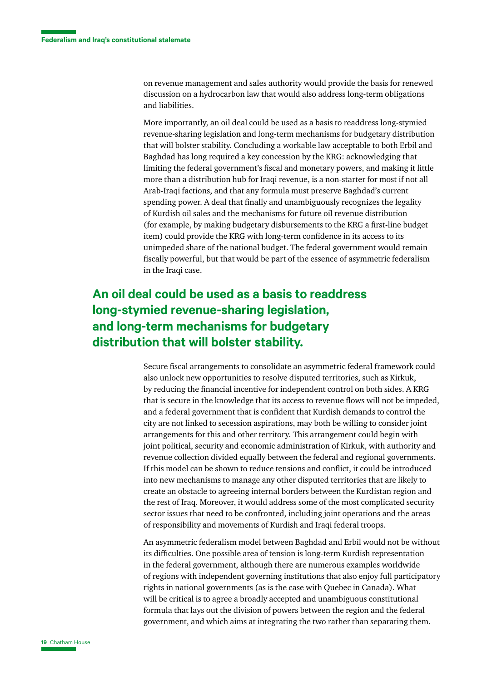on revenue management and sales authority would provide the basis for renewed discussion on a hydrocarbon law that would also address long-term obligations and liabilities.

More importantly, an oil deal could be used as a basis to readdress long-stymied revenue-sharing legislation and long-term mechanisms for budgetary distribution that will bolster stability. Concluding a workable law acceptable to both Erbil and Baghdad has long required a key concession by the KRG: acknowledging that limiting the federal government's fiscal and monetary powers, and making it little more than a distribution hub for Iraqi revenue, is a non-starter for most if not all Arab-Iraqi factions, and that any formula must preserve Baghdad's current spending power. A deal that finally and unambiguously recognizes the legality of Kurdish oil sales and the mechanisms for future oil revenue distribution (for example, by making budgetary disbursements to the KRG a first-line budget item) could provide the KRG with long-term confidence in its access to its unimpeded share of the national budget. The federal government would remain fiscally powerful, but that would be part of the essence of asymmetric federalism in the Iraqi case.

## **An oil deal could be used as a basis to readdress long-stymied revenue-sharing legislation, and long-term mechanisms for budgetary distribution that will bolster stability.**

Secure fiscal arrangements to consolidate an asymmetric federal framework could also unlock new opportunities to resolve disputed territories, such as Kirkuk, by reducing the financial incentive for independent control on both sides. A KRG that is secure in the knowledge that its access to revenue flows will not be impeded, and a federal government that is confident that Kurdish demands to control the city are not linked to secession aspirations, may both be willing to consider joint arrangements for this and other territory. This arrangement could begin with joint political, security and economic administration of Kirkuk, with authority and revenue collection divided equally between the federal and regional governments. If this model can be shown to reduce tensions and conflict, it could be introduced into new mechanisms to manage any other disputed territories that are likely to create an obstacle to agreeing internal borders between the Kurdistan region and the rest of Iraq. Moreover, it would address some of the most complicated security sector issues that need to be confronted, including joint operations and the areas of responsibility and movements of Kurdish and Iraqi federal troops.

An asymmetric federalism model between Baghdad and Erbil would not be without its difficulties. One possible area of tension is long-term Kurdish representation in the federal government, although there are numerous examples worldwide of regions with independent governing institutions that also enjoy full participatory rights in national governments (as is the case with Quebec in Canada). What will be critical is to agree a broadly accepted and unambiguous constitutional formula that lays out the division of powers between the region and the federal government, and which aims at integrating the two rather than separating them.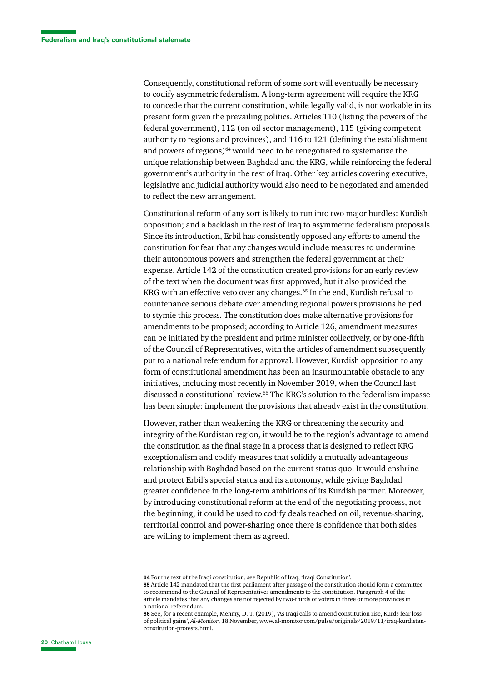Consequently, constitutional reform of some sort will eventually be necessary to codify asymmetric federalism. A long-term agreement will require the KRG to concede that the current constitution, while legally valid, is not workable in its present form given the prevailing politics. Articles 110 (listing the powers of the federal government), 112 (on oil sector management), 115 (giving competent authority to regions and provinces), and 116 to 121 (defining the establishment and powers of regions)<sup>64</sup> would need to be renegotiated to systematize the unique relationship between Baghdad and the KRG, while reinforcing the federal government's authority in the rest of Iraq. Other key articles covering executive, legislative and judicial authority would also need to be negotiated and amended to reflect the new arrangement.

Constitutional reform of any sort is likely to run into two major hurdles: Kurdish opposition; and a backlash in the rest of Iraq to asymmetric federalism proposals. Since its introduction, Erbil has consistently opposed any efforts to amend the constitution for fear that any changes would include measures to undermine their autonomous powers and strengthen the federal government at their expense. Article 142 of the constitution created provisions for an early review of the text when the document was first approved, but it also provided the KRG with an effective veto over any changes.<sup>65</sup> In the end, Kurdish refusal to countenance serious debate over amending regional powers provisions helped to stymie this process. The constitution does make alternative provisions for amendments to be proposed; according to Article 126, amendment measures can be initiated by the president and prime minister collectively, or by one-fifth of the Council of Representatives, with the articles of amendment subsequently put to a national referendum for approval. However, Kurdish opposition to any form of constitutional amendment has been an insurmountable obstacle to any initiatives, including most recently in November 2019, when the Council last discussed a constitutional review.66 The KRG's solution to the federalism impasse has been simple: implement the provisions that already exist in the constitution.

However, rather than weakening the KRG or threatening the security and integrity of the Kurdistan region, it would be to the region's advantage to amend the constitution as the final stage in a process that is designed to reflect KRG exceptionalism and codify measures that solidify a mutually advantageous relationship with Baghdad based on the current status quo. It would enshrine and protect Erbil's special status and its autonomy, while giving Baghdad greater confidence in the long-term ambitions of its Kurdish partner. Moreover, by introducing constitutional reform at the end of the negotiating process, not the beginning, it could be used to codify deals reached on oil, revenue-sharing, territorial control and power-sharing once there is confidence that both sides are willing to implement them as agreed.

**<sup>64</sup>** For the text of the Iraqi constitution, see Republic of Iraq, 'Iraqi Constitution'.

**<sup>65</sup>** Article 142 mandated that the first parliament after passage of the constitution should form a committee to recommend to the Council of Representatives amendments to the constitution. Paragraph 4 of the article mandates that any changes are not rejected by two-thirds of voters in three or more provinces in a national referendum.

**<sup>66</sup>** See, for a recent example, Menmy, D. T. (2019), 'As Iraqi calls to amend constitution rise, Kurds fear loss of political gains', *Al-Monitor*, 18 November, [www.al-monitor.com/pulse/originals/2019/11/iraq-kurdistan](https://www.al-monitor.com/pulse/originals/2019/11/iraq-kurdistan-constitution-protests.html)[constitution-protests.html](https://www.al-monitor.com/pulse/originals/2019/11/iraq-kurdistan-constitution-protests.html).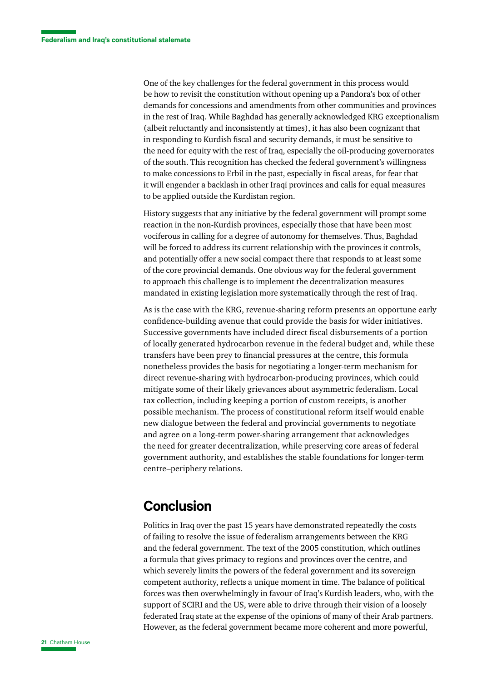One of the key challenges for the federal government in this process would be how to revisit the constitution without opening up a Pandora's box of other demands for concessions and amendments from other communities and provinces in the rest of Iraq. While Baghdad has generally acknowledged KRG exceptionalism (albeit reluctantly and inconsistently at times), it has also been cognizant that in responding to Kurdish fiscal and security demands, it must be sensitive to the need for equity with the rest of Iraq, especially the oil-producing governorates of the south. This recognition has checked the federal government's willingness to make concessions to Erbil in the past, especially in fiscal areas, for fear that it will engender a backlash in other Iraqi provinces and calls for equal measures to be applied outside the Kurdistan region.

History suggests that any initiative by the federal government will prompt some reaction in the non-Kurdish provinces, especially those that have been most vociferous in calling for a degree of autonomy for themselves. Thus, Baghdad will be forced to address its current relationship with the provinces it controls, and potentially offer a new social compact there that responds to at least some of the core provincial demands. One obvious way for the federal government to approach this challenge is to implement the decentralization measures mandated in existing legislation more systematically through the rest of Iraq.

As is the case with the KRG, revenue-sharing reform presents an opportune early confidence-building avenue that could provide the basis for wider initiatives. Successive governments have included direct fiscal disbursements of a portion of locally generated hydrocarbon revenue in the federal budget and, while these transfers have been prey to financial pressures at the centre, this formula nonetheless provides the basis for negotiating a longer-term mechanism for direct revenue-sharing with hydrocarbon-producing provinces, which could mitigate some of their likely grievances about asymmetric federalism. Local tax collection, including keeping a portion of custom receipts, is another possible mechanism. The process of constitutional reform itself would enable new dialogue between the federal and provincial governments to negotiate and agree on a long-term power-sharing arrangement that acknowledges the need for greater decentralization, while preserving core areas of federal government authority, and establishes the stable foundations for longer-term centre–periphery relations.

## **Conclusion**

Politics in Iraq over the past 15 years have demonstrated repeatedly the costs of failing to resolve the issue of federalism arrangements between the KRG and the federal government. The text of the 2005 constitution, which outlines a formula that gives primacy to regions and provinces over the centre, and which severely limits the powers of the federal government and its sovereign competent authority, reflects a unique moment in time. The balance of political forces was then overwhelmingly in favour of Iraq's Kurdish leaders, who, with the support of SCIRI and the US, were able to drive through their vision of a loosely federated Iraq state at the expense of the opinions of many of their Arab partners. However, as the federal government became more coherent and more powerful,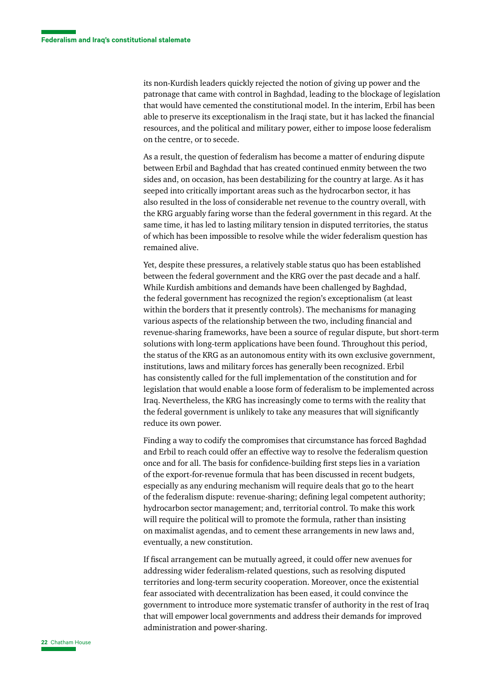its non-Kurdish leaders quickly rejected the notion of giving up power and the patronage that came with control in Baghdad, leading to the blockage of legislation that would have cemented the constitutional model. In the interim, Erbil has been able to preserve its exceptionalism in the Iraqi state, but it has lacked the financial resources, and the political and military power, either to impose loose federalism on the centre, or to secede.

As a result, the question of federalism has become a matter of enduring dispute between Erbil and Baghdad that has created continued enmity between the two sides and, on occasion, has been destabilizing for the country at large. As it has seeped into critically important areas such as the hydrocarbon sector, it has also resulted in the loss of considerable net revenue to the country overall, with the KRG arguably faring worse than the federal government in this regard. At the same time, it has led to lasting military tension in disputed territories, the status of which has been impossible to resolve while the wider federalism question has remained alive.

Yet, despite these pressures, a relatively stable status quo has been established between the federal government and the KRG over the past decade and a half. While Kurdish ambitions and demands have been challenged by Baghdad, the federal government has recognized the region's exceptionalism (at least within the borders that it presently controls). The mechanisms for managing various aspects of the relationship between the two, including financial and revenue-sharing frameworks, have been a source of regular dispute, but short-term solutions with long-term applications have been found. Throughout this period, the status of the KRG as an autonomous entity with its own exclusive government, institutions, laws and military forces has generally been recognized. Erbil has consistently called for the full implementation of the constitution and for legislation that would enable a loose form of federalism to be implemented across Iraq. Nevertheless, the KRG has increasingly come to terms with the reality that the federal government is unlikely to take any measures that will significantly reduce its own power.

Finding a way to codify the compromises that circumstance has forced Baghdad and Erbil to reach could offer an effective way to resolve the federalism question once and for all. The basis for confidence-building first steps lies in a variation of the export-for-revenue formula that has been discussed in recent budgets, especially as any enduring mechanism will require deals that go to the heart of the federalism dispute: revenue-sharing; defining legal competent authority; hydrocarbon sector management; and, territorial control. To make this work will require the political will to promote the formula, rather than insisting on maximalist agendas, and to cement these arrangements in new laws and, eventually, a new constitution.

If fiscal arrangement can be mutually agreed, it could offer new avenues for addressing wider federalism-related questions, such as resolving disputed territories and long-term security cooperation. Moreover, once the existential fear associated with decentralization has been eased, it could convince the government to introduce more systematic transfer of authority in the rest of Iraq that will empower local governments and address their demands for improved administration and power-sharing.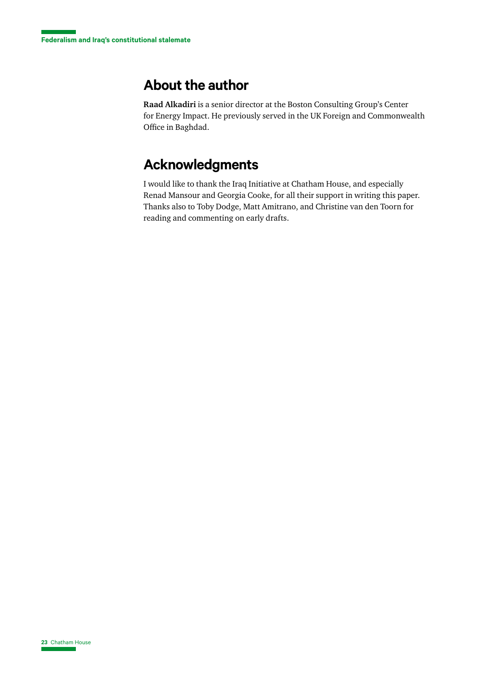# **About the author**

**Raad Alkadiri** is a senior director at the Boston Consulting Group's Center for Energy Impact. He previously served in the UK Foreign and Commonwealth Office in Baghdad.

# **Acknowledgments**

I would like to thank the Iraq Initiative at Chatham House, and especially Renad Mansour and Georgia Cooke, for all their support in writing this paper. Thanks also to Toby Dodge, Matt Amitrano, and Christine van den Toorn for reading and commenting on early drafts.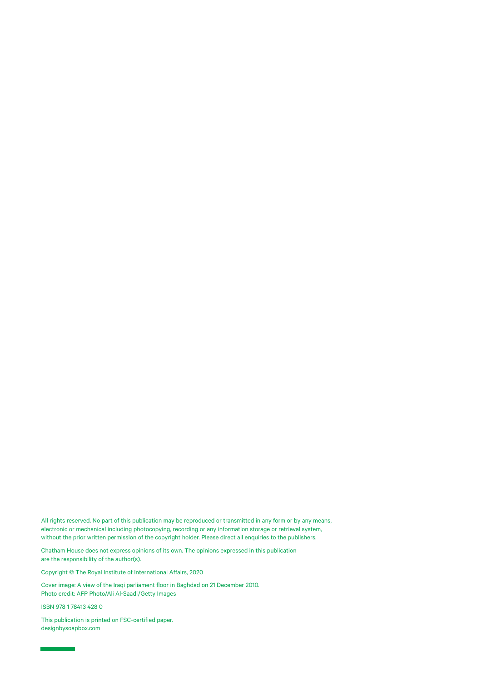All rights reserved. No part of this publication may be reproduced or transmitted in any form or by any means, electronic or mechanical including photocopying, recording or any information storage or retrieval system, without the prior written permission of the copyright holder. Please direct all enquiries to the publishers.

Chatham House does not express opinions of its own. The opinions expressed in this publication are the responsibility of the author(s).

Copyright © The Royal Institute of International Affairs, 2020

Cover image: A view of the Iraqi parliament floor in Baghdad on 21 December 2010. Photo credit: AFP Photo/Ali Al-Saadi/Getty Images

ISBN 978 1 78413 428 0

This publication is printed on FSC-certified paper. [designbysoapbox.com](http://designbysoapbox.com/)